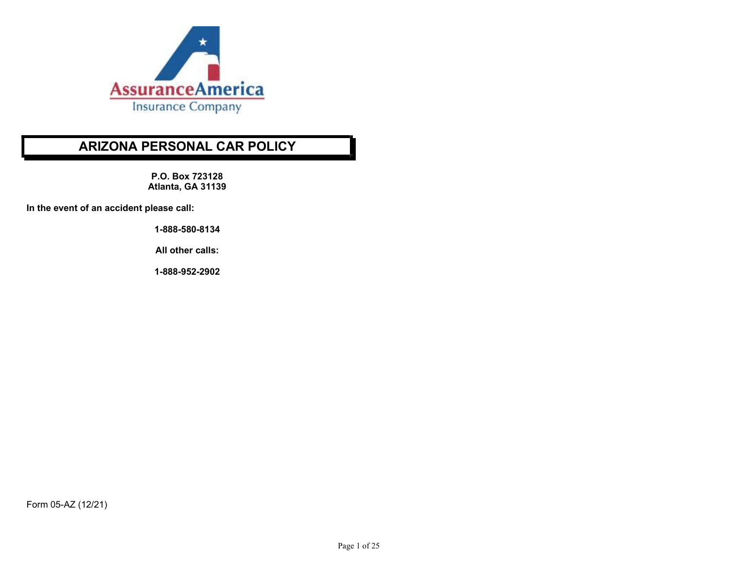

# ARIZONA PERSONAL CAR POLICY

P.O. Box 723128 Atlanta, GA 31139

In the event of an accident please call:

1-888-580-8134

All other calls:

1-888-952-2902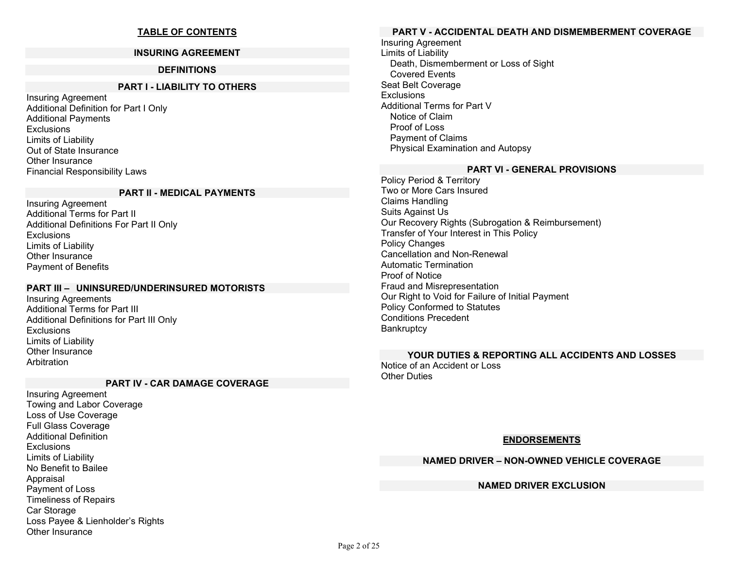# TABLE OF CONTENTS

#### INSURING AGREEMENT

### DEFINITIONS

#### PART I - LIABILITY TO OTHERS

Insuring Agreement Additional Definition for Part I Only Additional Payments **Exclusions** Limits of Liability Out of State Insurance Other Insurance Financial Responsibility Laws

#### PART II - MEDICAL PAYMENTS

Insuring Agreement Additional Terms for Part II Additional Definitions For Part II Only Exclusions Limits of Liability Other Insurance Payment of Benefits

### PART III – UNINSURED/UNDERINSURED MOTORISTS

Insuring Agreements Additional Terms for Part III Additional Definitions for Part III Only **Exclusions** Limits of Liability Other Insurance Arbitration

#### PART IV - CAR DAMAGE COVERAGE

Insuring Agreement Towing and Labor Coverage Loss of Use Coverage Full Glass Coverage Additional Definition Exclusions Limits of Liability No Benefit to Bailee Appraisal Payment of Loss Timeliness of Repairs Car Storage Loss Payee & Lienholder's Rights Other Insurance

### PART V - ACCIDENTAL DEATH AND DISMEMBERMENT COVERAGE

Insuring Agreement Limits of Liability Death, Dismemberment or Loss of Sight Covered Events Seat Belt Coverage **Exclusions** Additional Terms for Part V Notice of Claim Proof of Loss Payment of Claims Physical Examination and Autopsy

#### PART VI - GENERAL PROVISIONS

Policy Period & Territory Two or More Cars Insured Claims Handling Suits Against Us Our Recovery Rights (Subrogation & Reimbursement) Transfer of Your Interest in This Policy Policy Changes Cancellation and Non-Renewal Automatic Termination Proof of Notice Fraud and Misrepresentation Our Right to Void for Failure of Initial Payment Policy Conformed to Statutes Conditions Precedent **Bankruptcy** 

# YOUR DUTIES & REPORTING ALL ACCIDENTS AND LOSSES

Notice of an Accident or Loss **Other Duties** 

### ENDORSEMENTS

### NAMED DRIVER – NON-OWNED VEHICLE COVERAGE

# NAMED DRIVER EXCLUSION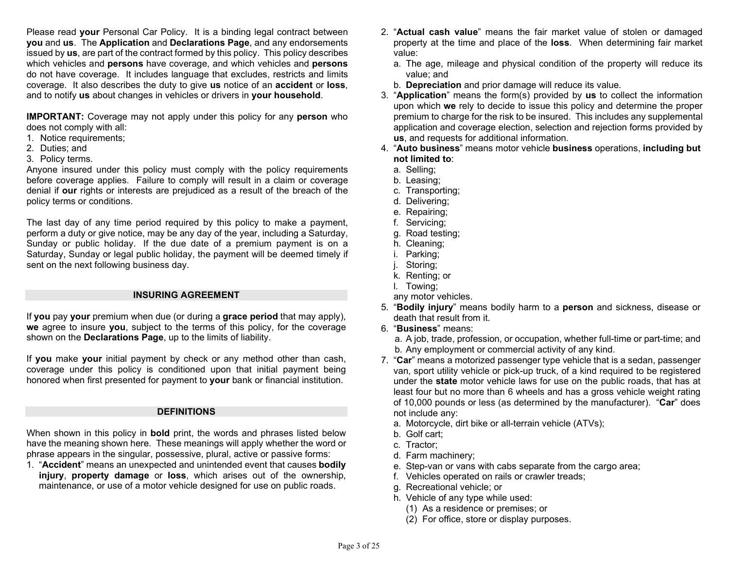Please read your Personal Car Policy. It is a binding legal contract between you and us. The Application and Declarations Page, and any endorsements issued by us, are part of the contract formed by this policy. This policy describes which vehicles and **persons** have coverage, and which vehicles and **persons** do not have coverage. It includes language that excludes, restricts and limits coverage. It also describes the duty to give us notice of an accident or loss, and to notify us about changes in vehicles or drivers in your household.

IMPORTANT: Coverage may not apply under this policy for any person who does not comply with all:

- 1. Notice requirements;
- 2. Duties; and
- 3. Policy terms.

Anyone insured under this policy must comply with the policy requirements before coverage applies. Failure to comply will result in a claim or coverage denial if our rights or interests are prejudiced as a result of the breach of the policy terms or conditions.

The last day of any time period required by this policy to make a payment, perform a duty or give notice, may be any day of the year, including a Saturday, Sunday or public holiday. If the due date of a premium payment is on a Saturday, Sunday or legal public holiday, the payment will be deemed timely if sent on the next following business day.

### INSURING AGREEMENT

If you pay your premium when due (or during a grace period that may apply), we agree to insure you, subject to the terms of this policy, for the coverage shown on the **Declarations Page**, up to the limits of liability.

If you make your initial payment by check or any method other than cash, coverage under this policy is conditioned upon that initial payment being honored when first presented for payment to your bank or financial institution.

### **DEFINITIONS**

When shown in this policy in **bold** print, the words and phrases listed below have the meaning shown here. These meanings will apply whether the word or phrase appears in the singular, possessive, plural, active or passive forms:

1. "Accident" means an unexpected and unintended event that causes bodily injury, property damage or loss, which arises out of the ownership, maintenance, or use of a motor vehicle designed for use on public roads.

- 2. "Actual cash value" means the fair market value of stolen or damaged property at the time and place of the loss. When determining fair market value:
	- a. The age, mileage and physical condition of the property will reduce its value; and
	- b. **Depreciation** and prior damage will reduce its value.
- 3. "Application" means the form(s) provided by us to collect the information upon which we rely to decide to issue this policy and determine the proper premium to charge for the risk to be insured. This includes any supplemental application and coverage election, selection and rejection forms provided by us, and requests for additional information.
- 4. "Auto business" means motor vehicle business operations, including but not limited to:
	- a. Selling;
	- b. Leasing;
	- c. Transporting;
	- d. Delivering;
	- e. Repairing;
	- f. Servicing;
	- g. Road testing;
	- h. Cleaning;
	- i. Parking;
	- j. Storing;
	- k. Renting; or
	- l. Towing;
	- any motor vehicles.
- 5. "Bodily injury" means bodily harm to a person and sickness, disease or death that result from it.
- 6. "Business" means:
	- a. A job, trade, profession, or occupation, whether full-time or part-time; and b. Any employment or commercial activity of any kind.
- 7. "Car" means a motorized passenger type vehicle that is a sedan, passenger van, sport utility vehicle or pick-up truck, of a kind required to be registered under the state motor vehicle laws for use on the public roads, that has at least four but no more than 6 wheels and has a gross vehicle weight rating of 10,000 pounds or less (as determined by the manufacturer). "Car" does not include any:
	- a. Motorcycle, dirt bike or all-terrain vehicle (ATVs);
	- b. Golf cart;
	- c. Tractor;
	- d. Farm machinery;
	- e. Step-van or vans with cabs separate from the cargo area;
	- f. Vehicles operated on rails or crawler treads;
	- g. Recreational vehicle; or
	- h. Vehicle of any type while used:
		- (1) As a residence or premises; or
		- (2) For office, store or display purposes.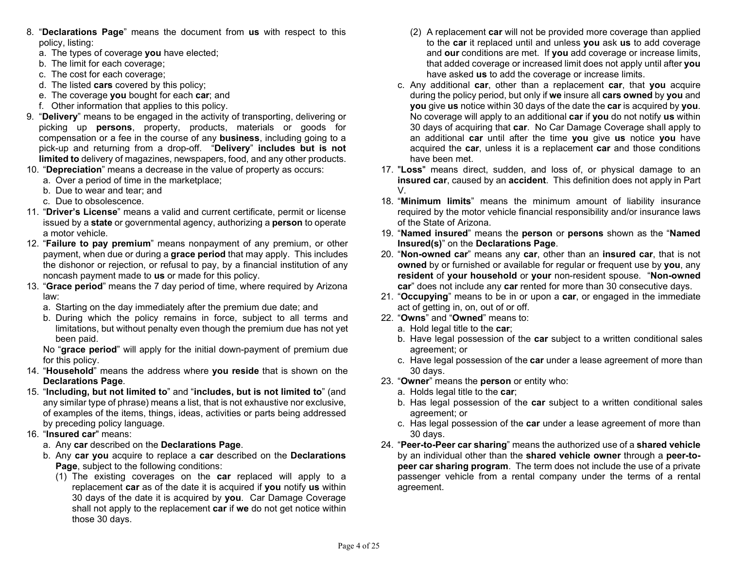- 8. "Declarations Page" means the document from us with respect to this policy, listing:
	- a. The types of coverage you have elected;
	- b. The limit for each coverage;
	- c. The cost for each coverage;
	- d. The listed cars covered by this policy;
	- e. The coverage you bought for each car; and
	- f. Other information that applies to this policy.
- 9. "Delivery" means to be engaged in the activity of transporting, delivering or picking up persons, property, products, materials or goods for compensation or a fee in the course of any business, including going to a pick-up and returning from a drop-off. "Delivery" includes but is not limited to delivery of magazines, newspapers, food, and any other products.
- 10. "Depreciation" means a decrease in the value of property as occurs:
	- a. Over a period of time in the marketplace;
	- b. Due to wear and tear; and
	- c. Due to obsolescence.
- 11. "Driver's License" means a valid and current certificate, permit or license issued by a **state** or governmental agency, authorizing a **person** to operate a motor vehicle.
- 12. "Failure to pay premium" means nonpayment of any premium, or other payment, when due or during a **grace period** that may apply. This includes the dishonor or rejection, or refusal to pay, by a financial institution of any noncash payment made to us or made for this policy.
- 13. "Grace period" means the 7 day period of time, where required by Arizona law:
	- a. Starting on the day immediately after the premium due date; and
	- b. During which the policy remains in force, subject to all terms and limitations, but without penalty even though the premium due has not yet been paid.

 No "grace period" will apply for the initial down-payment of premium due for this policy.

- 14. "Household" means the address where you reside that is shown on the Declarations Page.
- 15. "Including, but not limited to" and "includes, but is not limited to" (and any similar type of phrase) means a list, that is not exhaustive nor exclusive, of examples of the items, things, ideas, activities or parts being addressed by preceding policy language.
- 16. "Insured car" means:
	- a. Any car described on the Declarations Page.
	- b. Any car you acquire to replace a car described on the Declarations Page, subject to the following conditions:
		- (1) The existing coverages on the car replaced will apply to a replacement car as of the date it is acquired if you notify us within 30 days of the date it is acquired by you. Car Damage Coverage shall not apply to the replacement **car** if we do not get notice within those 30 days.
- (2) A replacement car will not be provided more coverage than applied to the car it replaced until and unless you ask us to add coverage and our conditions are met. If you add coverage or increase limits, that added coverage or increased limit does not apply until after you have asked **us** to add the coverage or increase limits.
- c. Any additional car, other than a replacement car, that you acquire during the policy period, but only if we insure all cars owned by you and you give us notice within 30 days of the date the car is acquired by you. No coverage will apply to an additional car if you do not notify us within 30 days of acquiring that car. No Car Damage Coverage shall apply to an additional car until after the time you give us notice you have acquired the car, unless it is a replacement car and those conditions have been met.
- 17. "Loss" means direct, sudden, and loss of, or physical damage to an insured car, caused by an accident. This definition does not apply in Part V.
- 18. "Minimum limits" means the minimum amount of liability insurance required by the motor vehicle financial responsibility and/or insurance laws of the State of Arizona.
- 19. "Named insured" means the person or persons shown as the "Named Insured(s)" on the Declarations Page.
- 20. "Non-owned car" means any car, other than an insured car, that is not owned by or furnished or available for regular or frequent use by you, any resident of your household or your non-resident spouse. "Non-owned car" does not include any car rented for more than 30 consecutive days.
- 21. "Occupying" means to be in or upon a car, or engaged in the immediate act of getting in, on, out of or off.
- 22. "Owns" and "Owned" means to:
	- a. Hold legal title to the car;
	- b. Have legal possession of the car subject to a written conditional sales agreement; or
	- c. Have legal possession of the car under a lease agreement of more than 30 days.
- 23. "Owner" means the person or entity who:
	- a. Holds legal title to the car;
	- b. Has legal possession of the car subject to a written conditional sales agreement; or
	- c. Has legal possession of the car under a lease agreement of more than 30 days.
- 24. "Peer-to-Peer car sharing" means the authorized use of a shared vehicle by an individual other than the **shared vehicle owner** through a peer-topeer car sharing program. The term does not include the use of a private passenger vehicle from a rental company under the terms of a rental agreement.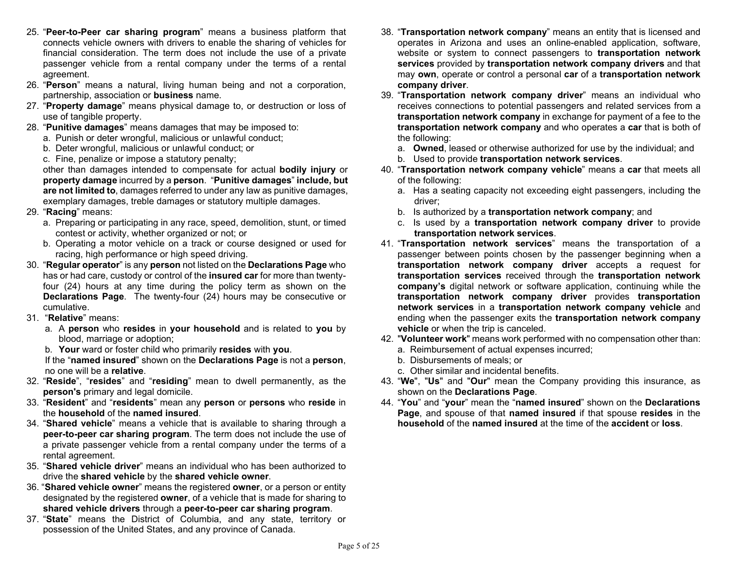- 25. "Peer-to-Peer car sharing program" means a business platform that connects vehicle owners with drivers to enable the sharing of vehicles for financial consideration. The term does not include the use of a private passenger vehicle from a rental company under the terms of a rental agreement.
- 26. "Person" means a natural, living human being and not a corporation, partnership, association or business name.
- 27. "Property damage" means physical damage to, or destruction or loss of use of tangible property.
- 28. "Punitive damages" means damages that may be imposed to:
	- a. Punish or deter wrongful, malicious or unlawful conduct;
		- b. Deter wrongful, malicious or unlawful conduct; or
		- c. Fine, penalize or impose a statutory penalty;

 other than damages intended to compensate for actual bodily injury or property damage incurred by a person. "Punitive damages" include, but are not limited to, damages referred to under any law as punitive damages, exemplary damages, treble damages or statutory multiple damages.

- 29. "Racing" means:
	- a. Preparing or participating in any race, speed, demolition, stunt, or timed contest or activity, whether organized or not; or
	- b. Operating a motor vehicle on a track or course designed or used for racing, high performance or high speed driving.
- 30. "Regular operator" is any person not listed on the Declarations Page who has or had care, custody or control of the insured car for more than twentyfour (24) hours at any time during the policy term as shown on the Declarations Page. The twenty-four (24) hours may be consecutive or cumulative.
- 31. "Relative" means:
	- a. A person who resides in your household and is related to you by blood, marriage or adoption;
	- b. Your ward or foster child who primarily resides with you.

 If the "named insured" shown on the Declarations Page is not a person, no one will be a relative.

- 32. "Reside", "resides" and "residing" mean to dwell permanently, as the person's primary and legal domicile.
- 33. "Resident" and "residents" mean any person or persons who reside in the household of the named insured.
- 34. "Shared vehicle" means a vehicle that is available to sharing through a peer-to-peer car sharing program. The term does not include the use of a private passenger vehicle from a rental company under the terms of a rental agreement.
- 35. "Shared vehicle driver" means an individual who has been authorized to drive the shared vehicle by the shared vehicle owner.
- 36. "Shared vehicle owner" means the registered owner, or a person or entity designated by the registered **owner**, of a vehicle that is made for sharing to shared vehicle drivers through a peer-to-peer car sharing program.
- 37. "State" means the District of Columbia, and any state, territory or possession of the United States, and any province of Canada.
- 38. "Transportation network company" means an entity that is licensed and operates in Arizona and uses an online-enabled application, software, website or system to connect passengers to transportation network services provided by transportation network company drivers and that may own, operate or control a personal car of a transportation network company driver.
- 39. "Transportation network company driver" means an individual who receives connections to potential passengers and related services from a transportation network company in exchange for payment of a fee to the transportation network company and who operates a car that is both of the following:
	- a. Owned, leased or otherwise authorized for use by the individual; and
	- b. Used to provide transportation network services.
- 40. "Transportation network company vehicle" means a car that meets all of the following:
	- a. Has a seating capacity not exceeding eight passengers, including the driver;
	- b. Is authorized by a transportation network company; and
	- c. Is used by a transportation network company driver to provide transportation network services.
- 41. "Transportation network services" means the transportation of a passenger between points chosen by the passenger beginning when a transportation network company driver accepts a request for transportation services received through the transportation network company's digital network or software application, continuing while the transportation network company driver provides transportation network services in a transportation network company vehicle and ending when the passenger exits the transportation network company vehicle or when the trip is canceled.
- 42. "Volunteer work" means work performed with no compensation other than:
	- a. Reimbursement of actual expenses incurred;
	- b. Disbursements of meals; or
	- c. Other similar and incidental benefits.
- 43. "We", "Us" and "Our" mean the Company providing this insurance, as shown on the **Declarations Page**.
- 44. "You" and "your" mean the "named insured" shown on the Declarations Page, and spouse of that named insured if that spouse resides in the household of the named insured at the time of the accident or loss.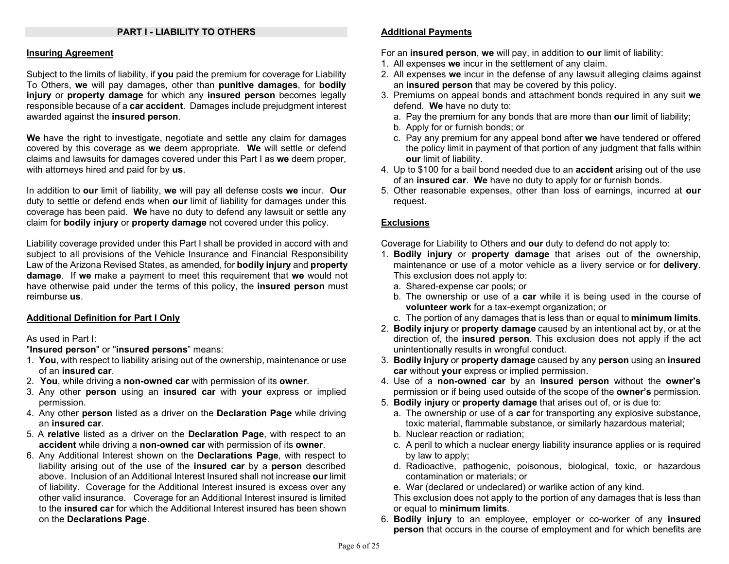### PART I - LIABILITY TO OTHERS

#### Insuring Agreement

Subject to the limits of liability, if you paid the premium for coverage for Liability To Others, we will pay damages, other than punitive damages, for bodily injury or property damage for which any insured person becomes legally responsible because of a car accident. Damages include prejudgment interest awarded against the insured person.

We have the right to investigate, negotiate and settle any claim for damages covered by this coverage as we deem appropriate. We will settle or defend claims and lawsuits for damages covered under this Part I as we deem proper, with attorneys hired and paid for by us.

In addition to our limit of liability, we will pay all defense costs we incur. Our duty to settle or defend ends when our limit of liability for damages under this coverage has been paid. We have no duty to defend any lawsuit or settle any claim for **bodily injury** or **property damage** not covered under this policy.

Liability coverage provided under this Part I shall be provided in accord with and subject to all provisions of the Vehicle Insurance and Financial Responsibility Law of the Arizona Revised States, as amended, for bodily injury and property damage. If we make a payment to meet this requirement that we would not have otherwise paid under the terms of this policy, the **insured person** must reimburse us.

### Additional Definition for Part I Only

As used in Part I:

"Insured person" or "insured persons" means:

- 1. You, with respect to liability arising out of the ownership, maintenance or use of an insured car.
- 2. You, while driving a non-owned car with permission of its owner.
- 3. Any other **person** using an insured car with your express or implied permission.
- 4. Any other person listed as a driver on the Declaration Page while driving an insured car.
- 5. A relative listed as a driver on the Declaration Page, with respect to an accident while driving a non-owned car with permission of its owner.
- 6. Any Additional Interest shown on the Declarations Page, with respect to liability arising out of the use of the insured car by a person described above. Inclusion of an Additional Interest Insured shall not increase our limit of liability. Coverage for the Additional Interest insured is excess over any other valid insurance. Coverage for an Additional Interest insured is limited to the **insured car** for which the Additional Interest insured has been shown on the Declarations Page.

### Additional Payments

For an insured person, we will pay, in addition to our limit of liability:

- 1. All expenses we incur in the settlement of any claim.
- 2. All expenses we incur in the defense of any lawsuit alleging claims against an insured person that may be covered by this policy.
- 3. Premiums on appeal bonds and attachment bonds required in any suit we defend. We have no duty to:
	- a. Pay the premium for any bonds that are more than **our** limit of liability;
	- b. Apply for or furnish bonds; or
	- c. Pay any premium for any appeal bond after we have tendered or offered the policy limit in payment of that portion of any judgment that falls within our limit of liability.
- 4. Up to \$100 for a bail bond needed due to an accident arising out of the use of an insured car. We have no duty to apply for or furnish bonds.
- 5. Other reasonable expenses, other than loss of earnings, incurred at our request.

### **Exclusions**

Coverage for Liability to Others and our duty to defend do not apply to:

- 1. Bodily injury or property damage that arises out of the ownership, maintenance or use of a motor vehicle as a livery service or for **delivery**. This exclusion does not apply to:
	- a. Shared-expense car pools; or
	- b. The ownership or use of a car while it is being used in the course of volunteer work for a tax-exempt organization; or
	- c. The portion of any damages that is less than or equal to minimum limits.
- 2. Bodily injury or property damage caused by an intentional act by, or at the direction of, the insured person. This exclusion does not apply if the act unintentionally results in wrongful conduct.
- 3. Bodily injury or property damage caused by any person using an insured car without your express or implied permission.
- 4. Use of a non-owned car by an insured person without the owner's permission or if being used outside of the scope of the **owner's** permission.
- 5. Bodily injury or property damage that arises out of, or is due to:
	- a. The ownership or use of a car for transporting any explosive substance, toxic material, flammable substance, or similarly hazardous material;
	- b. Nuclear reaction or radiation;
	- c. A peril to which a nuclear energy liability insurance applies or is required by law to apply;
	- d. Radioactive, pathogenic, poisonous, biological, toxic, or hazardous contamination or materials; or
	- e. War (declared or undeclared) or warlike action of any kind.

 This exclusion does not apply to the portion of any damages that is less than or equal to minimum limits.

6. Bodily injury to an employee, employer or co-worker of any insured person that occurs in the course of employment and for which benefits are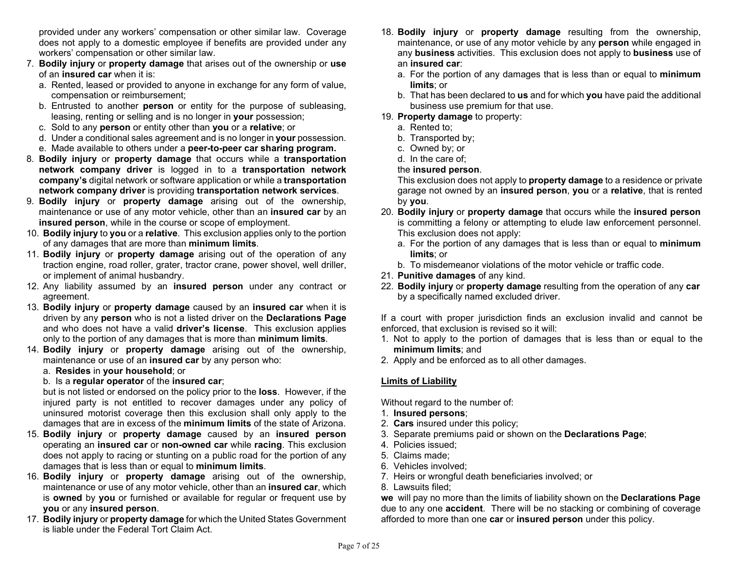provided under any workers' compensation or other similar law. Coverage does not apply to a domestic employee if benefits are provided under any workers' compensation or other similar law.

- 7. Bodily injury or property damage that arises out of the ownership or use of an insured car when it is:
	- a. Rented, leased or provided to anyone in exchange for any form of value, compensation or reimbursement;
	- b. Entrusted to another person or entity for the purpose of subleasing, leasing, renting or selling and is no longer in your possession;
	- c. Sold to any person or entity other than you or a relative; or
	- d. Under a conditional sales agreement and is no longer in your possession.
	- e. Made available to others under a peer-to-peer car sharing program.
- 8. Bodily injury or property damage that occurs while a transportation network company driver is logged in to a transportation network company's digital network or software application or while a transportation network company driver is providing transportation network services.
- 9. Bodily injury or property damage arising out of the ownership, maintenance or use of any motor vehicle, other than an insured car by an insured person, while in the course or scope of employment.
- 10. Bodily injury to you or a relative. This exclusion applies only to the portion of any damages that are more than minimum limits.
- 11. Bodily injury or property damage arising out of the operation of any traction engine, road roller, grater, tractor crane, power shovel, well driller, or implement of animal husbandry.
- 12. Any liability assumed by an insured person under any contract or agreement.
- 13. Bodily injury or property damage caused by an insured car when it is driven by any person who is not a listed driver on the Declarations Page and who does not have a valid driver's license. This exclusion applies only to the portion of any damages that is more than **minimum limits**.
- 14. Bodily injury or property damage arising out of the ownership, maintenance or use of an **insured car** by any person who:

### a. Resides in your household; or

### b. Is a regular operator of the insured car;

but is not listed or endorsed on the policy prior to the loss. However, if the injured party is not entitled to recover damages under any policy of uninsured motorist coverage then this exclusion shall only apply to the damages that are in excess of the minimum limits of the state of Arizona.

- 15. Bodily injury or property damage caused by an insured person operating an insured car or non-owned car while racing. This exclusion does not apply to racing or stunting on a public road for the portion of any damages that is less than or equal to minimum limits.
- 16. Bodily injury or property damage arising out of the ownership, maintenance or use of any motor vehicle, other than an **insured car**, which is owned by you or furnished or available for regular or frequent use by you or any insured person.
- 17. Bodily injury or property damage for which the United States Government is liable under the Federal Tort Claim Act.
- 18. Bodily injury or property damage resulting from the ownership, maintenance, or use of any motor vehicle by any **person** while engaged in any **business** activities. This exclusion does not apply to **business** use of an insured car:
	- a. For the portion of any damages that is less than or equal to minimum limits; or
	- b. That has been declared to us and for which you have paid the additional business use premium for that use.
- 19. Property damage to property:
	- a. Rented to;
	- b. Transported by;
	- c. Owned by; or
	- d. In the care of;

### the insured person.

This exclusion does not apply to **property damage** to a residence or private garage not owned by an insured person, you or a relative, that is rented by you.

- 20. Bodily injury or property damage that occurs while the insured person is committing a felony or attempting to elude law enforcement personnel. This exclusion does not apply:
	- a. For the portion of any damages that is less than or equal to minimum limits; or
	- b. To misdemeanor violations of the motor vehicle or traffic code.
- 21. Punitive damages of any kind.
- 22. Bodily injury or property damage resulting from the operation of any car by a specifically named excluded driver.

If a court with proper jurisdiction finds an exclusion invalid and cannot be enforced, that exclusion is revised so it will:

- 1. Not to apply to the portion of damages that is less than or equal to the minimum limits; and
- 2. Apply and be enforced as to all other damages.

# Limits of Liability

Without regard to the number of:

- 1. Insured persons;
- 2. Cars insured under this policy;
- 3. Separate premiums paid or shown on the Declarations Page;
- 4. Policies issued;
- 5. Claims made;
- 6. Vehicles involved;
- 7. Heirs or wrongful death beneficiaries involved; or
- 8. Lawsuits filed;

we will pay no more than the limits of liability shown on the **Declarations Page** due to any one accident. There will be no stacking or combining of coverage afforded to more than one car or insured person under this policy.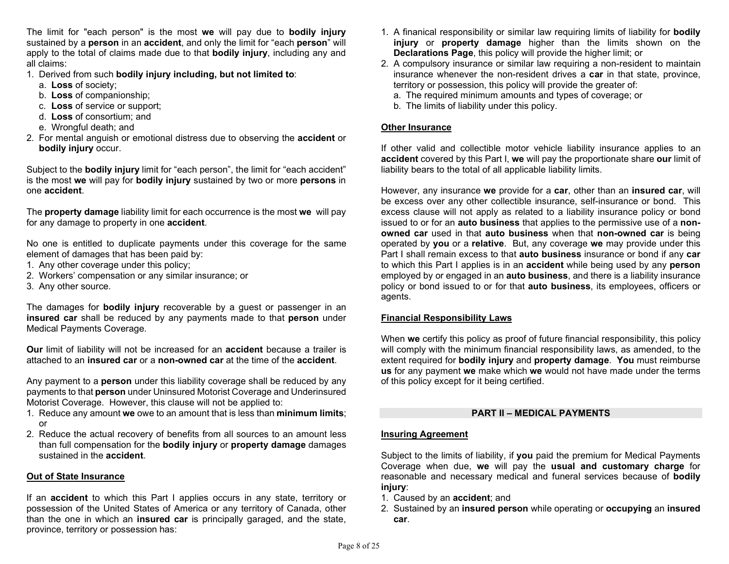The limit for "each person" is the most we will pay due to **bodily injury** sustained by a person in an accident, and only the limit for "each person" will apply to the total of claims made due to that **bodily injury**, including any and all claims:

- 1. Derived from such bodily injury including, but not limited to:
	- a. Loss of society;
	- b. Loss of companionship;
	- c. Loss of service or support;
	- d. Loss of consortium; and
	- e. Wrongful death; and
- 2. For mental anguish or emotional distress due to observing the **accident** or bodily injury occur.

Subject to the **bodily injury** limit for "each person", the limit for "each accident" is the most we will pay for **bodily injury** sustained by two or more **persons** in one accident.

The property damage liability limit for each occurrence is the most we will pay for any damage to property in one **accident**.

No one is entitled to duplicate payments under this coverage for the same element of damages that has been paid by:

- 1. Any other coverage under this policy;
- 2. Workers' compensation or any similar insurance; or
- 3. Any other source.

The damages for **bodily injury** recoverable by a quest or passenger in an insured car shall be reduced by any payments made to that person under Medical Payments Coverage.

**Our limit of liability will not be increased for an accident because a trailer is** attached to an insured car or a non-owned car at the time of the accident.

Any payment to a **person** under this liability coverage shall be reduced by any payments to that person under Uninsured Motorist Coverage and Underinsured Motorist Coverage. However, this clause will not be applied to:

- 1. Reduce any amount we owe to an amount that is less than minimum limits; or
- 2. Reduce the actual recovery of benefits from all sources to an amount less than full compensation for the bodily injury or property damage damages sustained in the **accident**.

# Out of State Insurance

If an **accident** to which this Part I applies occurs in any state, territory or possession of the United States of America or any territory of Canada, other than the one in which an insured car is principally garaged, and the state, province, territory or possession has:

- 1. A finanical responsibility or similar law requiring limits of liability for bodily injury or property damage higher than the limits shown on the Declarations Page, this policy will provide the higher limit; or
- 2. A compulsory insurance or similar law requiring a non-resident to maintain insurance whenever the non-resident drives a **car** in that state, province, territory or possession, this policy will provide the greater of:
	- a. The required minimum amounts and types of coverage; or
	- b. The limits of liability under this policy.

### Other Insurance

If other valid and collectible motor vehicle liability insurance applies to an accident covered by this Part I, we will pay the proportionate share our limit of liability bears to the total of all applicable liability limits.

However, any insurance we provide for a car, other than an insured car, will be excess over any other collectible insurance, self-insurance or bond. This excess clause will not apply as related to a liability insurance policy or bond issued to or for an **auto business** that applies to the permissive use of a nonowned car used in that auto business when that non-owned car is being operated by you or a relative. But, any coverage we may provide under this Part I shall remain excess to that **auto business** insurance or bond if any car to which this Part I applies is in an **accident** while being used by any **person** employed by or engaged in an **auto business**, and there is a liability insurance policy or bond issued to or for that **auto business**, its employees, officers or agents.

# Financial Responsibility Laws

When we certify this policy as proof of future financial responsibility, this policy will comply with the minimum financial responsibility laws, as amended, to the extent required for bodily injury and property damage. You must reimburse us for any payment we make which we would not have made under the terms of this policy except for it being certified.

# PART II – MEDICAL PAYMENTS

# Insuring Agreement

Subject to the limits of liability, if you paid the premium for Medical Payments Coverage when due, we will pay the usual and customary charge for reasonable and necessary medical and funeral services because of bodily iniury:

- 1. Caused by an accident; and
- 2. Sustained by an insured person while operating or occupying an insured car.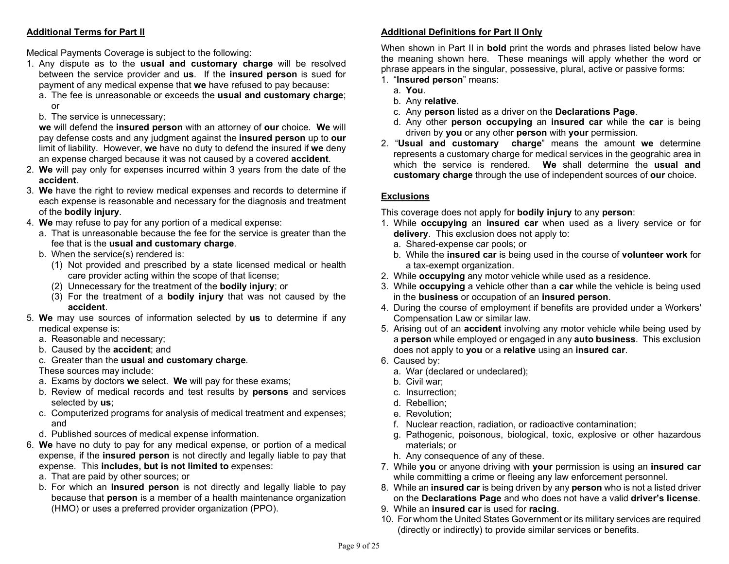# Additional Terms for Part II

Medical Payments Coverage is subject to the following:

- 1. Any dispute as to the usual and customary charge will be resolved between the service provider and us. If the insured person is sued for payment of any medical expense that we have refused to pay because:
	- a. The fee is unreasonable or exceeds the usual and customary charge; or
	- b. The service is unnecessary;

we will defend the insured person with an attorney of our choice. We will pay defense costs and any judgment against the insured person up to our limit of liability. However, we have no duty to defend the insured if we deny an expense charged because it was not caused by a covered accident.

- 2. We will pay only for expenses incurred within 3 years from the date of the accident.
- 3. We have the right to review medical expenses and records to determine if each expense is reasonable and necessary for the diagnosis and treatment of the bodily injury.
- 4. We may refuse to pay for any portion of a medical expense:
	- a. That is unreasonable because the fee for the service is greater than the fee that is the usual and customary charge.
	- b. When the service(s) rendered is:
		- (1) Not provided and prescribed by a state licensed medical or health care provider acting within the scope of that license;
		- (2) Unnecessary for the treatment of the bodily injury; or
		- $(3)$  For the treatment of a **bodily injury** that was not caused by the accident.
- 5. We may use sources of information selected by us to determine if any medical expense is:
	- a. Reasonable and necessary;
	- b. Caused by the accident; and
	- c. Greater than the usual and customary charge.

These sources may include:

- a. Exams by doctors we select. We will pay for these exams;
- b. Review of medical records and test results by persons and services selected by us;
- c. Computerized programs for analysis of medical treatment and expenses; and
- d. Published sources of medical expense information.
- 6. We have no duty to pay for any medical expense, or portion of a medical expense, if the insured person is not directly and legally liable to pay that expense. This includes, but is not limited to expenses:
	- a. That are paid by other sources; or
	- b. For which an insured person is not directly and legally liable to pay because that person is a member of a health maintenance organization (HMO) or uses a preferred provider organization (PPO).

# Additional Definitions for Part II Only

When shown in Part II in **bold** print the words and phrases listed below have the meaning shown here. These meanings will apply whether the word or phrase appears in the singular, possessive, plural, active or passive forms: 1. "Insured person" means:

- a. You.
- b. Any relative.
- c. Any person listed as a driver on the Declarations Page.
- d. Any other person occupying an insured car while the car is being driven by you or any other person with your permission.
- 2. "Usual and customary charge" means the amount we determine represents a customary charge for medical services in the geograhic area in which the service is rendered. We shall determine the usual and customary charge through the use of independent sources of our choice.

# **Exclusions**

This coverage does not apply for bodily injury to any person:

- 1. While occupying an insured car when used as a livery service or for delivery. This exclusion does not apply to:
	- a. Shared-expense car pools; or
	- b. While the insured car is being used in the course of volunteer work for a tax-exempt organization.
- 2. While **occupying** any motor vehicle while used as a residence.
- 3. While **occupying** a vehicle other than a **car** while the vehicle is being used in the business or occupation of an insured person.
- 4. During the course of employment if benefits are provided under a Workers' Compensation Law or similar law.
- 5. Arising out of an accident involving any motor vehicle while being used by a person while employed or engaged in any auto business. This exclusion does not apply to you or a relative using an insured car.
- 6. Caused by:
	- a. War (declared or undeclared);
	- b. Civil war;
	- c. Insurrection;
	- d. Rebellion;
	- e. Revolution;
	- f. Nuclear reaction, radiation, or radioactive contamination;
	- g. Pathogenic, poisonous, biological, toxic, explosive or other hazardous materials; or
	- h. Any consequence of any of these.
- 7. While you or anyone driving with your permission is using an insured car while committing a crime or fleeing any law enforcement personnel.
- 8. While an insured car is being driven by any person who is not a listed driver on the Declarations Page and who does not have a valid driver's license.
- 9. While an insured car is used for racing.
- 10. For whom the United States Government or its military services are required (directly or indirectly) to provide similar services or benefits.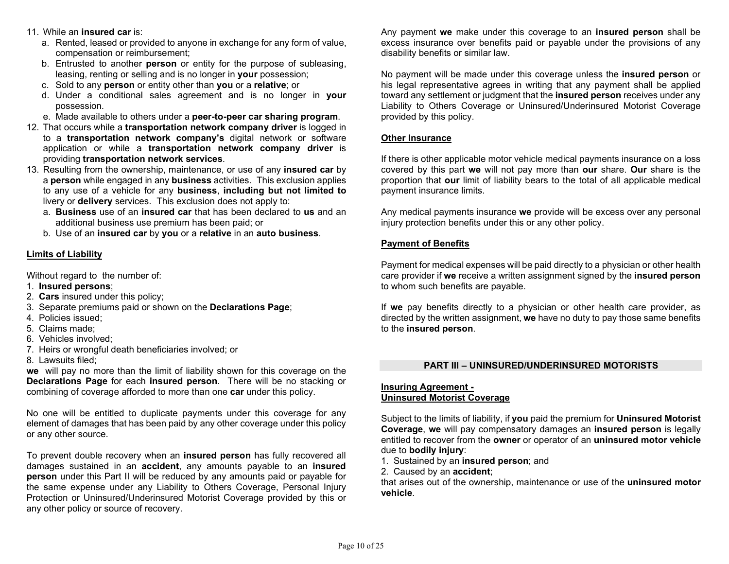- 11. While an insured car is:
	- a. Rented, leased or provided to anyone in exchange for any form of value, compensation or reimbursement;
	- b. Entrusted to another person or entity for the purpose of subleasing, leasing, renting or selling and is no longer in your possession;
	- c. Sold to any person or entity other than you or a relative; or
	- d. Under a conditional sales agreement and is no longer in your possession.
	- e. Made available to others under a peer-to-peer car sharing program.
- 12. That occurs while a transportation network company driver is logged in to a transportation network company's digital network or software application or while a transportation network company driver is providing transportation network services.
- 13. Resulting from the ownership, maintenance, or use of any **insured car** by a person while engaged in any business activities. This exclusion applies to any use of a vehicle for any business, including but not limited to livery or **delivery** services. This exclusion does not apply to:
	- a. Business use of an insured car that has been declared to us and an additional business use premium has been paid; or
	- b. Use of an insured car by you or a relative in an auto business.

# Limits of Liability

Without regard to the number of:

- 1. Insured persons;
- 2. Cars insured under this policy;
- 3. Separate premiums paid or shown on the Declarations Page;
- 4. Policies issued;
- 5. Claims made;
- 6. Vehicles involved;
- 7. Heirs or wrongful death beneficiaries involved; or
- 8. Lawsuits filed;

we will pay no more than the limit of liability shown for this coverage on the Declarations Page for each insured person. There will be no stacking or combining of coverage afforded to more than one **car** under this policy.

No one will be entitled to duplicate payments under this coverage for any element of damages that has been paid by any other coverage under this policy or any other source.

To prevent double recovery when an **insured person** has fully recovered all damages sustained in an accident, any amounts payable to an insured person under this Part II will be reduced by any amounts paid or payable for the same expense under any Liability to Others Coverage, Personal Injury Protection or Uninsured/Underinsured Motorist Coverage provided by this or any other policy or source of recovery.

Any payment we make under this coverage to an insured person shall be excess insurance over benefits paid or payable under the provisions of any disability benefits or similar law.

No payment will be made under this coverage unless the insured person or his legal representative agrees in writing that any payment shall be applied toward any settlement or judgment that the insured person receives under any Liability to Others Coverage or Uninsured/Underinsured Motorist Coverage provided by this policy.

# Other Insurance

If there is other applicable motor vehicle medical payments insurance on a loss covered by this part we will not pay more than our share. Our share is the proportion that our limit of liability bears to the total of all applicable medical payment insurance limits.

Any medical payments insurance we provide will be excess over any personal injury protection benefits under this or any other policy.

# Payment of Benefits

Payment for medical expenses will be paid directly to a physician or other health care provider if we receive a written assignment signed by the insured person to whom such benefits are payable.

If we pay benefits directly to a physician or other health care provider, as directed by the written assignment, we have no duty to pay those same benefits to the insured person.

### PART III – UNINSURED/UNDERINSURED MOTORISTS

### Insuring Agreement - Uninsured Motorist Coverage

Subject to the limits of liability, if you paid the premium for Uninsured Motorist Coverage, we will pay compensatory damages an insured person is legally entitled to recover from the owner or operator of an uninsured motor vehicle due to bodily injury:

- 1. Sustained by an insured person; and
- 2. Caused by an accident;

that arises out of the ownership, maintenance or use of the uninsured motor vehicle.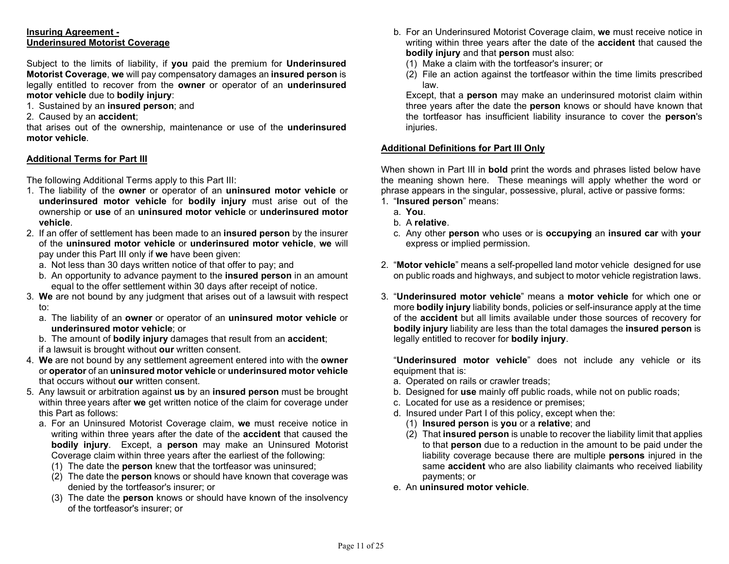### Insuring Agreement - Underinsured Motorist Coverage

Subject to the limits of liability, if you paid the premium for Underinsured Motorist Coverage, we will pay compensatory damages an insured person is legally entitled to recover from the owner or operator of an underinsured motor vehicle due to bodily injury:

1. Sustained by an insured person; and

#### 2. Caused by an accident;

that arises out of the ownership, maintenance or use of the **underinsured** motor vehicle.

### Additional Terms for Part III

The following Additional Terms apply to this Part III:

- 1. The liability of the owner or operator of an uninsured motor vehicle or underinsured motor vehicle for bodily injury must arise out of the ownership or use of an uninsured motor vehicle or underinsured motor vehicle.
- 2. If an offer of settlement has been made to an insured person by the insurer of the uninsured motor vehicle or underinsured motor vehicle, we will pay under this Part III only if we have been given:
	- a. Not less than 30 days written notice of that offer to pay; and
	- b. An opportunity to advance payment to the insured person in an amount equal to the offer settlement within 30 days after receipt of notice.
- 3. We are not bound by any judgment that arises out of a lawsuit with respect to:
	- a. The liability of an owner or operator of an uninsured motor vehicle or underinsured motor vehicle; or
	- b. The amount of **bodily injury** damages that result from an **accident**;
	- if a lawsuit is brought without our written consent.
- 4. We are not bound by any settlement agreement entered into with the owner or operator of an uninsured motor vehicle or underinsured motor vehicle that occurs without our written consent.
- 5. Any lawsuit or arbitration against us by an insured person must be brought within three years after we get written notice of the claim for coverage under this Part as follows:
	- a. For an Uninsured Motorist Coverage claim, we must receive notice in writing within three years after the date of the **accident** that caused the bodily injury. Except, a person may make an Uninsured Motorist Coverage claim within three years after the earliest of the following:
		- (1) The date the person knew that the tortfeasor was uninsured;
		- (2) The date the person knows or should have known that coverage was denied by the tortfeasor's insurer; or
		- (3) The date the person knows or should have known of the insolvency of the tortfeasor's insurer; or
- b. For an Underinsured Motorist Coverage claim, we must receive notice in writing within three years after the date of the **accident** that caused the bodily injury and that person must also:
	- (1) Make a claim with the tortfeasor's insurer; or
	- (2) File an action against the tortfeasor within the time limits prescribed law.

 Except, that a person may make an underinsured motorist claim within three years after the date the person knows or should have known that the tortfeasor has insufficient liability insurance to cover the person's injuries.

### Additional Definitions for Part III Only

When shown in Part III in **bold** print the words and phrases listed below have the meaning shown here. These meanings will apply whether the word or phrase appears in the singular, possessive, plural, active or passive forms:

- 1. "Insured person" means:
	- a. You.
	- b. A relative.
	- c. Any other person who uses or is occupying an insured car with your express or implied permission.
- 2. "Motor vehicle" means a self-propelled land motor vehicle designed for use on public roads and highways, and subject to motor vehicle registration laws.
- 3. "Underinsured motor vehicle" means a motor vehicle for which one or more **bodily injury** liability bonds, policies or self-insurance apply at the time of the accident but all limits available under those sources of recovery for bodily injury liability are less than the total damages the insured person is legally entitled to recover for **bodily injury**.

"Underinsured motor vehicle" does not include any vehicle or its equipment that is:

- a. Operated on rails or crawler treads;
- b. Designed for use mainly off public roads, while not on public roads;
- c. Located for use as a residence or premises;
- d. Insured under Part I of this policy, except when the:
	- (1) Insured person is you or a relative; and
	- (2) That insured person is unable to recover the liability limit that applies to that person due to a reduction in the amount to be paid under the liability coverage because there are multiple **persons** injured in the same **accident** who are also liability claimants who received liability payments; or
- e. An uninsured motor vehicle.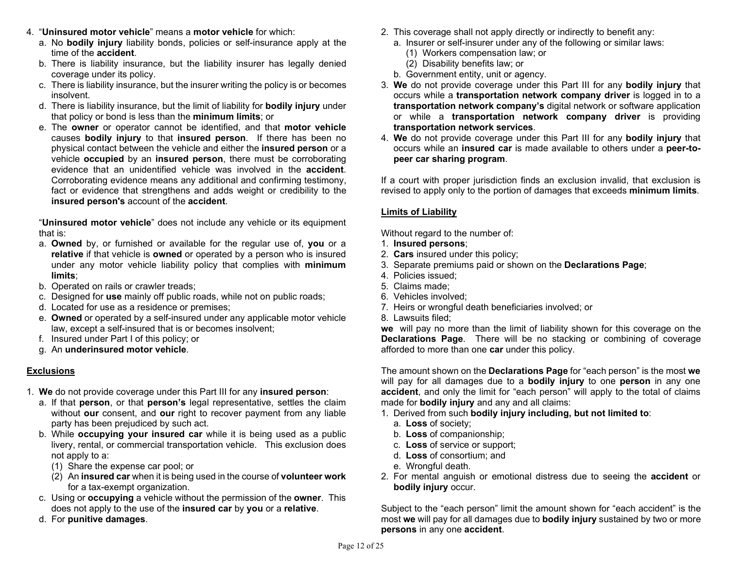- 4. "Uninsured motor vehicle" means a motor vehicle for which:
	- a. No bodily injury liability bonds, policies or self-insurance apply at the time of the accident.
	- b. There is liability insurance, but the liability insurer has legally denied coverage under its policy.
	- c. There is liability insurance, but the insurer writing the policy is or becomes insolvent.
	- d. There is liability insurance, but the limit of liability for bodily injury under that policy or bond is less than the minimum limits; or
	- e. The owner or operator cannot be identified, and that motor vehicle causes bodily injury to that insured person. If there has been no physical contact between the vehicle and either the insured person or a vehicle **occupied** by an **insured person**, there must be corroborating evidence that an unidentified vehicle was involved in the accident. Corroborating evidence means any additional and confirming testimony, fact or evidence that strengthens and adds weight or credibility to the insured person's account of the accident.

 "Uninsured motor vehicle" does not include any vehicle or its equipment that is:

- a. Owned by, or furnished or available for the regular use of, you or a relative if that vehicle is owned or operated by a person who is insured under any motor vehicle liability policy that complies with minimum limits;
- b. Operated on rails or crawler treads;
- c. Designed for use mainly off public roads, while not on public roads;
- d. Located for use as a residence or premises;
- e. Owned or operated by a self-insured under any applicable motor vehicle law, except a self-insured that is or becomes insolvent;
- f. Insured under Part I of this policy; or
- g. An underinsured motor vehicle.

# **Exclusions**

- 1. We do not provide coverage under this Part III for any insured person:
	- a. If that person, or that person's legal representative, settles the claim without our consent, and our right to recover payment from any liable party has been prejudiced by such act.
	- b. While occupying your insured car while it is being used as a public livery, rental, or commercial transportation vehicle. This exclusion does not apply to a:
		- (1) Share the expense car pool; or
		- (2) An insured car when it is being used in the course of volunteer work for a tax-exempt organization.
	- c. Using or occupying a vehicle without the permission of the owner. This does not apply to the use of the insured car by you or a relative.
- d. For punitive damages.
- 2. This coverage shall not apply directly or indirectly to benefit any:
	- a. Insurer or self-insurer under any of the following or similar laws:
		- (1) Workers compensation law; or
		- (2) Disability benefits law; or
	- b. Government entity, unit or agency.
- 3. We do not provide coverage under this Part III for any bodily injury that occurs while a transportation network company driver is logged in to a transportation network company's digital network or software application or while a transportation network company driver is providing transportation network services.
- 4. We do not provide coverage under this Part III for any bodily injury that occurs while an insured car is made available to others under a peer-topeer car sharing program.

If a court with proper jurisdiction finds an exclusion invalid, that exclusion is revised to apply only to the portion of damages that exceeds minimum limits.

# Limits of Liability

Without regard to the number of:

- 1. Insured persons;
- 2. Cars insured under this policy;
- 3. Separate premiums paid or shown on the Declarations Page;
- 4. Policies issued;
- 5. Claims made;
- 6. Vehicles involved;
- 7. Heirs or wrongful death beneficiaries involved; or
- 8. Lawsuits filed;

we will pay no more than the limit of liability shown for this coverage on the Declarations Page. There will be no stacking or combining of coverage afforded to more than one car under this policy.

The amount shown on the **Declarations Page** for "each person" is the most we will pay for all damages due to a **bodily injury** to one **person** in any one accident, and only the limit for "each person" will apply to the total of claims made for **bodily injury** and any and all claims:

- 1. Derived from such bodily injury including, but not limited to:
	- a. Loss of society;
	- b. Loss of companionship;
	- c. Loss of service or support;
	- d. Loss of consortium; and
	- e. Wrongful death.
- 2. For mental anguish or emotional distress due to seeing the accident or bodily injury occur.

Subject to the "each person" limit the amount shown for "each accident" is the most we will pay for all damages due to **bodily injury** sustained by two or more persons in any one accident.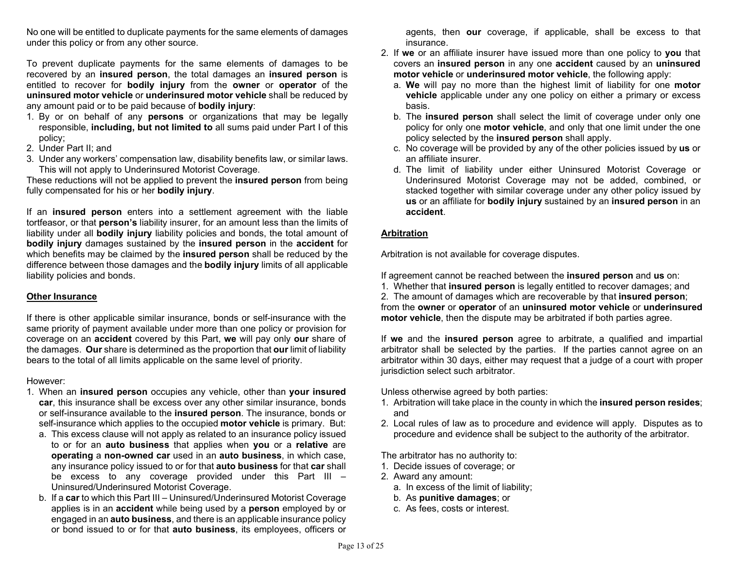No one will be entitled to duplicate payments for the same elements of damages under this policy or from any other source.

To prevent duplicate payments for the same elements of damages to be recovered by an insured person, the total damages an insured person is entitled to recover for bodily injury from the owner or operator of the uninsured motor vehicle or underinsured motor vehicle shall be reduced by any amount paid or to be paid because of **bodily injury**:

- 1. By or on behalf of any **persons** or organizations that may be legally responsible, including, but not limited to all sums paid under Part I of this policy;
- 2. Under Part II; and
- 3. Under any workers' compensation law, disability benefits law, or similar laws. This will not apply to Underinsured Motorist Coverage.

These reductions will not be applied to prevent the insured person from being fully compensated for his or her bodily injury.

If an insured person enters into a settlement agreement with the liable tortfeasor, or that person's liability insurer, for an amount less than the limits of liability under all bodily injury liability policies and bonds, the total amount of bodily injury damages sustained by the insured person in the accident for which benefits may be claimed by the **insured person** shall be reduced by the difference between those damages and the bodily injury limits of all applicable liability policies and bonds.

### Other Insurance

If there is other applicable similar insurance, bonds or self-insurance with the same priority of payment available under more than one policy or provision for coverage on an accident covered by this Part, we will pay only our share of the damages. Our share is determined as the proportion that our limit of liability bears to the total of all limits applicable on the same level of priority.

### However:

- 1. When an insured person occupies any vehicle, other than your insured car, this insurance shall be excess over any other similar insurance, bonds or self-insurance available to the insured person. The insurance, bonds or self-insurance which applies to the occupied motor vehicle is primary. But:
	- a. This excess clause will not apply as related to an insurance policy issued to or for an auto business that applies when you or a relative are operating a non-owned car used in an auto business, in which case, any insurance policy issued to or for that **auto business** for that **car** shall be excess to any coverage provided under this Part III – Uninsured/Underinsured Motorist Coverage.
	- b. If a car to which this Part III Uninsured/Underinsured Motorist Coverage applies is in an accident while being used by a person employed by or engaged in an auto business, and there is an applicable insurance policy or bond issued to or for that auto business, its employees, officers or

agents, then our coverage, if applicable, shall be excess to that insurance.

- 2. If we or an affiliate insurer have issued more than one policy to you that covers an insured person in any one accident caused by an uninsured motor vehicle or underinsured motor vehicle, the following apply:
	- a. We will pay no more than the highest limit of liability for one motor vehicle applicable under any one policy on either a primary or excess basis.
	- b. The insured person shall select the limit of coverage under only one policy for only one **motor vehicle**, and only that one limit under the one policy selected by the insured person shall apply.
	- c. No coverage will be provided by any of the other policies issued by us or an affiliate insurer.
	- d. The limit of liability under either Uninsured Motorist Coverage or Underinsured Motorist Coverage may not be added, combined, or stacked together with similar coverage under any other policy issued by us or an affiliate for bodily injury sustained by an insured person in an accident.

# Arbitration

Arbitration is not available for coverage disputes.

If agreement cannot be reached between the insured person and us on:

1. Whether that insured person is legally entitled to recover damages; and

2. The amount of damages which are recoverable by that insured person; from the owner or operator of an uninsured motor vehicle or underinsured motor vehicle, then the dispute may be arbitrated if both parties agree.

If we and the insured person agree to arbitrate, a qualified and impartial arbitrator shall be selected by the parties. If the parties cannot agree on an arbitrator within 30 days, either may request that a judge of a court with proper jurisdiction select such arbitrator.

Unless otherwise agreed by both parties:

- 1. Arbitration will take place in the county in which the insured person resides; and
- 2. Local rules of law as to procedure and evidence will apply. Disputes as to procedure and evidence shall be subject to the authority of the arbitrator.

The arbitrator has no authority to:

- 1. Decide issues of coverage; or
- 2. Award any amount:
	- a. In excess of the limit of liability;
	- b. As punitive damages; or
	- c. As fees, costs or interest.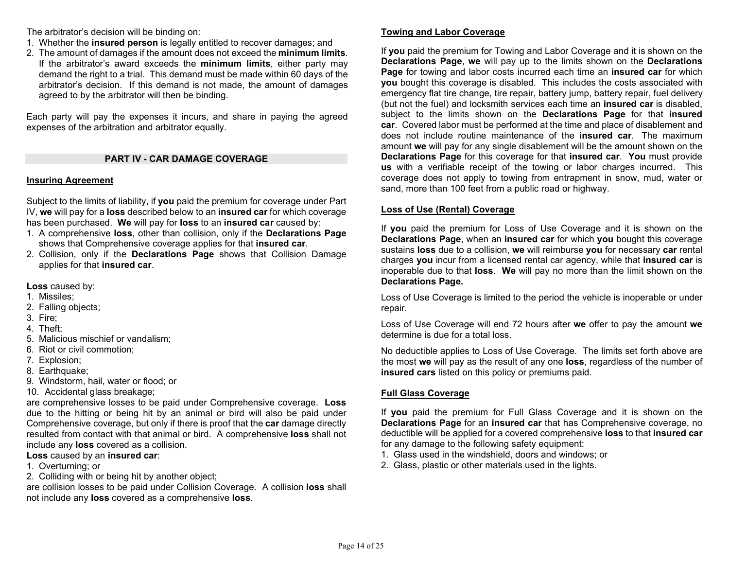The arbitrator's decision will be binding on:

- 1. Whether the insured person is legally entitled to recover damages; and
- 2. The amount of damages if the amount does not exceed the minimum limits.
- If the arbitrator's award exceeds the minimum limits, either party may demand the right to a trial. This demand must be made within 60 days of the arbitrator's decision. If this demand is not made, the amount of damages agreed to by the arbitrator will then be binding.

Each party will pay the expenses it incurs, and share in paying the agreed expenses of the arbitration and arbitrator equally.

# PART IV - CAR DAMAGE COVERAGE

### Insuring Agreement

Subject to the limits of liability, if you paid the premium for coverage under Part IV, we will pay for a loss described below to an insured car for which coverage has been purchased. We will pay for loss to an insured car caused by:

- 1. A comprehensive loss, other than collision, only if the Declarations Page shows that Comprehensive coverage applies for that insured car.
- 2. Collision, only if the Declarations Page shows that Collision Damage applies for that insured car.

Loss caused by:

- 1. Missiles;
- 2. Falling objects;
- 3. Fire;
- 4. Theft;
- 5. Malicious mischief or vandalism;
- 6. Riot or civil commotion;
- 7. Explosion;
- 8. Earthquake:
- 9. Windstorm, hail, water or flood; or
- 10. Accidental glass breakage;

are comprehensive losses to be paid under Comprehensive coverage. Loss due to the hitting or being hit by an animal or bird will also be paid under Comprehensive coverage, but only if there is proof that the car damage directly resulted from contact with that animal or bird. A comprehensive loss shall not include any **loss** covered as a collision.

# Loss caused by an insured car:

- 1. Overturning; or
- 2. Colliding with or being hit by another object;

are collision losses to be paid under Collision Coverage. A collision loss shall not include any loss covered as a comprehensive loss.

# Towing and Labor Coverage

If you paid the premium for Towing and Labor Coverage and it is shown on the Declarations Page, we will pay up to the limits shown on the Declarations Page for towing and labor costs incurred each time an insured car for which you bought this coverage is disabled. This includes the costs associated with emergency flat tire change, tire repair, battery jump, battery repair, fuel delivery (but not the fuel) and locksmith services each time an insured car is disabled, subject to the limits shown on the **Declarations Page** for that **insured** car. Covered labor must be performed at the time and place of disablement and does not include routine maintenance of the insured car. The maximum amount we will pay for any single disablement will be the amount shown on the Declarations Page for this coverage for that insured car. You must provide us with a verifiable receipt of the towing or labor charges incurred. This coverage does not apply to towing from entrapment in snow, mud, water or sand, more than 100 feet from a public road or highway.

# Loss of Use (Rental) Coverage

If you paid the premium for Loss of Use Coverage and it is shown on the Declarations Page, when an insured car for which you bought this coverage sustains loss due to a collision, we will reimburse you for necessary car rental charges you incur from a licensed rental car agency, while that insured car is inoperable due to that loss. We will pay no more than the limit shown on the Declarations Page.

Loss of Use Coverage is limited to the period the vehicle is inoperable or under repair.

Loss of Use Coverage will end 72 hours after we offer to pay the amount we determine is due for a total loss.

No deductible applies to Loss of Use Coverage. The limits set forth above are the most we will pay as the result of any one loss, regardless of the number of insured cars listed on this policy or premiums paid.

# Full Glass Coverage

If you paid the premium for Full Glass Coverage and it is shown on the Declarations Page for an insured car that has Comprehensive coverage, no deductible will be applied for a covered comprehensive loss to that insured car for any damage to the following safety equipment:

- 1. Glass used in the windshield, doors and windows; or
- 2. Glass, plastic or other materials used in the lights.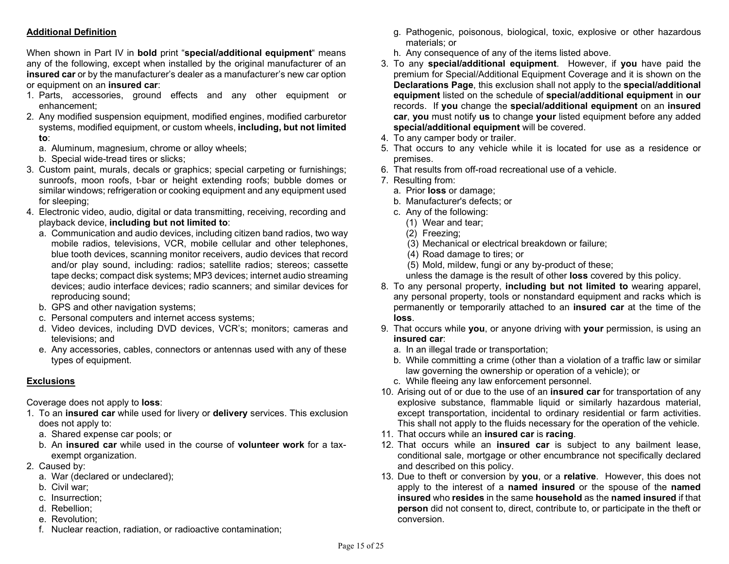# Additional Definition

When shown in Part IV in **bold** print "**special/additional equipment**" means any of the following, except when installed by the original manufacturer of an insured car or by the manufacturer's dealer as a manufacturer's new car option or equipment on an insured car:

- 1. Parts, accessories, ground effects and any other equipment or enhancement;
- 2. Any modified suspension equipment, modified engines, modified carburetor systems, modified equipment, or custom wheels, including, but not limited to:
	- a. Aluminum, magnesium, chrome or alloy wheels;
	- b. Special wide-tread tires or slicks;
- 3. Custom paint, murals, decals or graphics; special carpeting or furnishings; sunroofs, moon roofs, t-bar or height extending roofs; bubble domes or similar windows; refrigeration or cooking equipment and any equipment used for sleeping;
- 4. Electronic video, audio, digital or data transmitting, receiving, recording and playback device, including but not limited to:
	- a. Communication and audio devices, including citizen band radios, two way mobile radios, televisions, VCR, mobile cellular and other telephones, blue tooth devices, scanning monitor receivers, audio devices that record and/or play sound, including: radios; satellite radios; stereos; cassette tape decks; compact disk systems; MP3 devices; internet audio streaming devices; audio interface devices; radio scanners; and similar devices for reproducing sound;
	- b. GPS and other navigation systems;
	- c. Personal computers and internet access systems;
	- d. Video devices, including DVD devices, VCR's; monitors; cameras and televisions; and
	- e. Any accessories, cables, connectors or antennas used with any of these types of equipment.

# **Exclusions**

Coverage does not apply to loss:

- 1. To an insured car while used for livery or delivery services. This exclusion does not apply to:
	- a. Shared expense car pools; or
	- b. An insured car while used in the course of volunteer work for a taxexempt organization.
- 2. Caused by:
	- a. War (declared or undeclared);
	- b. Civil war;
	- c. Insurrection;
	- d. Rebellion;
	- e. Revolution;
	- f. Nuclear reaction, radiation, or radioactive contamination;
- g. Pathogenic, poisonous, biological, toxic, explosive or other hazardous materials; or
- h. Any consequence of any of the items listed above.
- 3. To any special/additional equipment. However, if you have paid the premium for Special/Additional Equipment Coverage and it is shown on the Declarations Page, this exclusion shall not apply to the special/additional equipment listed on the schedule of special/additional equipment in our records. If you change the special/additional equipment on an insured car, you must notify us to change your listed equipment before any added special/additional equipment will be covered.
- 4. To any camper body or trailer.
- 5. That occurs to any vehicle while it is located for use as a residence or premises.
- 6. That results from off-road recreational use of a vehicle.
- 7. Resulting from:
	- a. Prior loss or damage;
	- b. Manufacturer's defects; or
	- c. Any of the following:
		- (1) Wear and tear;
		- (2) Freezing;
		- (3) Mechanical or electrical breakdown or failure;
		- (4) Road damage to tires; or
		- (5) Mold, mildew, fungi or any by-product of these;
		- unless the damage is the result of other loss covered by this policy.
- 8. To any personal property, including but not limited to wearing apparel, any personal property, tools or nonstandard equipment and racks which is permanently or temporarily attached to an insured car at the time of the loss.
- 9. That occurs while you, or anyone driving with your permission, is using an insured car:
	- a. In an illegal trade or transportation;
	- b. While committing a crime (other than a violation of a traffic law or similar law governing the ownership or operation of a vehicle); or
	- c. While fleeing any law enforcement personnel.
- 10. Arising out of or due to the use of an **insured car** for transportation of any explosive substance, flammable liquid or similarly hazardous material, except transportation, incidental to ordinary residential or farm activities. This shall not apply to the fluids necessary for the operation of the vehicle.
- 11. That occurs while an insured car is racing.
- 12. That occurs while an insured car is subject to any bailment lease, conditional sale, mortgage or other encumbrance not specifically declared and described on this policy.
- 13. Due to theft or conversion by you, or a relative. However, this does not apply to the interest of a named insured or the spouse of the named insured who resides in the same household as the named insured if that person did not consent to, direct, contribute to, or participate in the theft or conversion.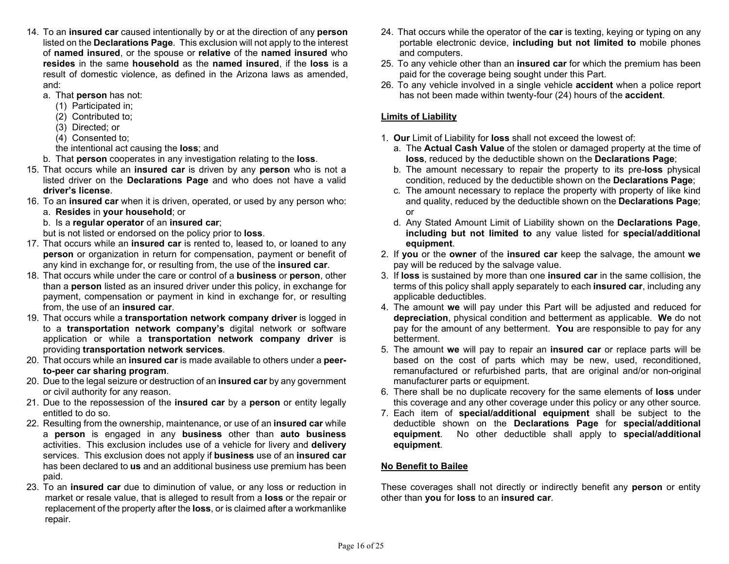- 14. To an insured car caused intentionally by or at the direction of any person listed on the Declarations Page. This exclusion will not apply to the interest of named insured, or the spouse or relative of the named insured who resides in the same household as the named insured, if the loss is a result of domestic violence, as defined in the Arizona laws as amended, and:
	- a. That person has not:
		- (1) Participated in;
		- (2) Contributed to;
		- (3) Directed; or
		- (4) Consented to;

the intentional act causing the loss; and

- b. That person cooperates in any investigation relating to the loss.
- 15. That occurs while an insured car is driven by any person who is not a listed driver on the Declarations Page and who does not have a valid driver's license.
- 16. To an insured car when it is driven, operated, or used by any person who: a. Resides in your household; or
	- b. Is a regular operator of an insured car;
	- but is not listed or endorsed on the policy prior to loss.
- 17. That occurs while an insured car is rented to, leased to, or loaned to any person or organization in return for compensation, payment or benefit of any kind in exchange for, or resulting from, the use of the **insured car**.
- 18. That occurs while under the care or control of a business or person, other than a person listed as an insured driver under this policy, in exchange for payment, compensation or payment in kind in exchange for, or resulting from, the use of an insured car.
- 19. That occurs while a transportation network company driver is logged in to a transportation network company's digital network or software application or while a transportation network company driver is providing transportation network services.
- 20. That occurs while an insured car is made available to others under a peerto-peer car sharing program.
- 20. Due to the legal seizure or destruction of an insured car by any government or civil authority for any reason.
- 21. Due to the repossession of the **insured car** by a **person** or entity legally entitled to do so.
- 22. Resulting from the ownership, maintenance, or use of an insured car while a person is engaged in any business other than auto business activities. This exclusion includes use of a vehicle for livery and delivery services. This exclusion does not apply if business use of an insured car has been declared to us and an additional business use premium has been paid.
- 23. To an insured car due to diminution of value, or any loss or reduction in market or resale value, that is alleged to result from a **loss** or the repair or replacement of the property after the **loss**, or is claimed after a workmanlike repair.
- 24. That occurs while the operator of the car is texting, keying or typing on any portable electronic device, including but not limited to mobile phones and computers.
- 25. To any vehicle other than an insured car for which the premium has been paid for the coverage being sought under this Part.
- 26. To any vehicle involved in a single vehicle accident when a police report has not been made within twenty-four (24) hours of the **accident**.

# Limits of Liability

- 1. Our Limit of Liability for loss shall not exceed the lowest of:
	- a. The Actual Cash Value of the stolen or damaged property at the time of loss, reduced by the deductible shown on the Declarations Page:
	- b. The amount necessary to repair the property to its pre-loss physical condition, reduced by the deductible shown on the Declarations Page;
	- c. The amount necessary to replace the property with property of like kind and quality, reduced by the deductible shown on the Declarations Page; or
	- d. Any Stated Amount Limit of Liability shown on the Declarations Page, including but not limited to any value listed for special/additional equipment.
- 2. If you or the owner of the insured car keep the salvage, the amount we pay will be reduced by the salvage value.
- 3. If loss is sustained by more than one insured car in the same collision, the terms of this policy shall apply separately to each **insured car**, including any applicable deductibles.
- 4. The amount we will pay under this Part will be adjusted and reduced for depreciation, physical condition and betterment as applicable. We do not pay for the amount of any betterment. You are responsible to pay for any betterment.
- 5. The amount we will pay to repair an insured car or replace parts will be based on the cost of parts which may be new, used, reconditioned, remanufactured or refurbished parts, that are original and/or non-original manufacturer parts or equipment.
- 6. There shall be no duplicate recovery for the same elements of loss under this coverage and any other coverage under this policy or any other source.
- 7. Each item of special/additional equipment shall be subject to the deductible shown on the Declarations Page for special/additional equipment. No other deductible shall apply to special/additional equipment.

# No Benefit to Bailee

These coverages shall not directly or indirectly benefit any **person** or entity other than you for loss to an insured car.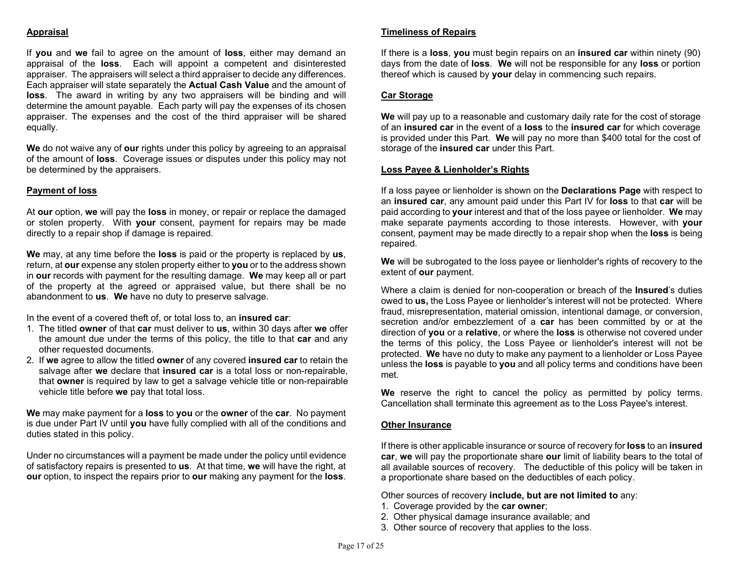# Appraisal

If you and we fail to agree on the amount of loss, either may demand an appraisal of the loss. Each will appoint a competent and disinterested appraiser. The appraisers will select a third appraiser to decide any differences. Each appraiser will state separately the Actual Cash Value and the amount of loss. The award in writing by any two appraisers will be binding and will determine the amount payable. Each party will pay the expenses of its chosen appraiser. The expenses and the cost of the third appraiser will be shared equally.

We do not waive any of our rights under this policy by agreeing to an appraisal of the amount of loss. Coverage issues or disputes under this policy may not be determined by the appraisers.

### Payment of loss

At our option, we will pay the loss in money, or repair or replace the damaged or stolen property. With your consent, payment for repairs may be made directly to a repair shop if damage is repaired.

We may, at any time before the **loss** is paid or the property is replaced by **us**, return, at our expense any stolen property either to you or to the address shown in our records with payment for the resulting damage. We may keep all or part of the property at the agreed or appraised value, but there shall be no abandonment to us. We have no duty to preserve salvage.

In the event of a covered theft of, or total loss to, an **insured car**:

- 1. The titled owner of that car must deliver to us, within 30 days after we offer the amount due under the terms of this policy, the title to that car and any other requested documents.
- 2. If we agree to allow the titled owner of any covered insured car to retain the salvage after we declare that insured car is a total loss or non-repairable, that owner is required by law to get a salvage vehicle title or non-repairable vehicle title before we pay that total loss.

We may make payment for a loss to you or the owner of the car. No payment is due under Part IV until you have fully complied with all of the conditions and duties stated in this policy.

Under no circumstances will a payment be made under the policy until evidence of satisfactory repairs is presented to us. At that time, we will have the right, at our option, to inspect the repairs prior to our making any payment for the loss.

### Timeliness of Repairs

If there is a loss, you must begin repairs on an insured car within ninety (90) days from the date of loss. We will not be responsible for any loss or portion thereof which is caused by your delay in commencing such repairs.

### Car Storage

We will pay up to a reasonable and customary daily rate for the cost of storage of an insured car in the event of a loss to the insured car for which coverage is provided under this Part. We will pay no more than \$400 total for the cost of storage of the **insured car** under this Part.

### Loss Payee & Lienholder's Rights

If a loss payee or lienholder is shown on the **Declarations Page** with respect to an insured car, any amount paid under this Part IV for loss to that car will be paid according to your interest and that of the loss payee or lienholder. We may make separate payments according to those interests. However, with your consent, payment may be made directly to a repair shop when the loss is being repaired.

We will be subrogated to the loss payee or lienholder's rights of recovery to the extent of **our** payment.

Where a claim is denied for non-cooperation or breach of the Insured's duties owed to us, the Loss Payee or lienholder's interest will not be protected. Where fraud, misrepresentation, material omission, intentional damage, or conversion, secretion and/or embezzlement of a **car** has been committed by or at the direction of you or a relative, or where the loss is otherwise not covered under the terms of this policy, the Loss Payee or lienholder's interest will not be protected. We have no duty to make any payment to a lienholder or Loss Payee unless the loss is payable to you and all policy terms and conditions have been met.

We reserve the right to cancel the policy as permitted by policy terms. Cancellation shall terminate this agreement as to the Loss Payee's interest.

### Other Insurance

If there is other applicable insurance or source of recovery for **loss** to an **insured** car, we will pay the proportionate share our limit of liability bears to the total of all available sources of recovery. The deductible of this policy will be taken in a proportionate share based on the deductibles of each policy.

Other sources of recovery include, but are not limited to any:

- 1. Coverage provided by the car owner;
- 2. Other physical damage insurance available; and
- 3. Other source of recovery that applies to the loss.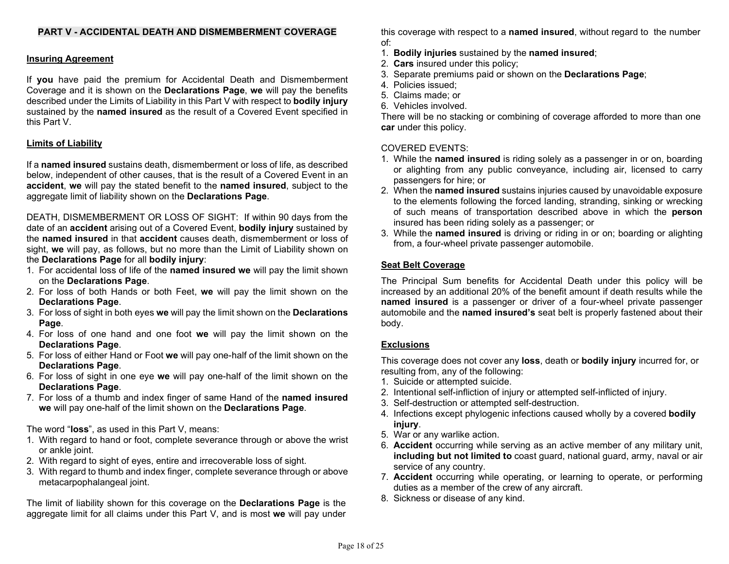# PART V - ACCIDENTAL DEATH AND DISMEMBERMENT COVERAGE

# Insuring Agreement

If you have paid the premium for Accidental Death and Dismemberment Coverage and it is shown on the Declarations Page, we will pay the benefits described under the Limits of Liability in this Part V with respect to bodily injury sustained by the named insured as the result of a Covered Event specified in this Part V.

# Limits of Liability

If a named insured sustains death, dismemberment or loss of life, as described below, independent of other causes, that is the result of a Covered Event in an accident, we will pay the stated benefit to the named insured, subject to the aggregate limit of liability shown on the Declarations Page.

DEATH, DISMEMBERMENT OR LOSS OF SIGHT: If within 90 days from the date of an **accident** arising out of a Covered Event, **bodily injury** sustained by the named insured in that accident causes death, dismemberment or loss of sight, we will pay, as follows, but no more than the Limit of Liability shown on the Declarations Page for all bodily injury:

- 1. For accidental loss of life of the named insured we will pay the limit shown on the Declarations Page.
- 2. For loss of both Hands or both Feet, we will pay the limit shown on the Declarations Page.
- 3. For loss of sight in both eyes we will pay the limit shown on the Declarations Page.
- 4. For loss of one hand and one foot we will pay the limit shown on the Declarations Page.
- 5. For loss of either Hand or Foot we will pay one-half of the limit shown on the Declarations Page.
- 6. For loss of sight in one eye we will pay one-half of the limit shown on the Declarations Page.
- 7. For loss of a thumb and index finger of same Hand of the named insured we will pay one-half of the limit shown on the Declarations Page.

The word "loss", as used in this Part V, means:

- 1. With regard to hand or foot, complete severance through or above the wrist or ankle joint.
- 2. With regard to sight of eyes, entire and irrecoverable loss of sight.
- 3. With regard to thumb and index finger, complete severance through or above metacarpophalangeal joint.

The limit of liability shown for this coverage on the Declarations Page is the aggregate limit for all claims under this Part  $V$ , and is most we will pay under

this coverage with respect to a named insured, without regard to the number of:

- 1. Bodily injuries sustained by the named insured;
- 2. Cars insured under this policy;
- 3. Separate premiums paid or shown on the Declarations Page;
- 4. Policies issued;
- 5. Claims made; or
- 6. Vehicles involved.

There will be no stacking or combining of coverage afforded to more than one car under this policy.

# COVERED EVENTS:

- 1. While the named insured is riding solely as a passenger in or on, boarding or alighting from any public conveyance, including air, licensed to carry passengers for hire; or
- 2. When the named insured sustains injuries caused by unavoidable exposure to the elements following the forced landing, stranding, sinking or wrecking of such means of transportation described above in which the person insured has been riding solely as a passenger; or
- 3. While the named insured is driving or riding in or on; boarding or alighting from, a four-wheel private passenger automobile.

# Seat Belt Coverage

The Principal Sum benefits for Accidental Death under this policy will be increased by an additional 20% of the benefit amount if death results while the named insured is a passenger or driver of a four-wheel private passenger automobile and the named insured's seat belt is properly fastened about their body.

# Exclusions

This coverage does not cover any loss, death or bodily injury incurred for, or resulting from, any of the following:

- 1. Suicide or attempted suicide.
- 2. Intentional self-infliction of injury or attempted self-inflicted of injury.
- 3. Self-destruction or attempted self-destruction.
- 4. Infections except phylogenic infections caused wholly by a covered **bodily** injury.
- 5. War or any warlike action.
- 6. Accident occurring while serving as an active member of any military unit, including but not limited to coast guard, national guard, army, naval or air service of any country.
- 7. Accident occurring while operating, or learning to operate, or performing duties as a member of the crew of any aircraft.
- 8. Sickness or disease of any kind.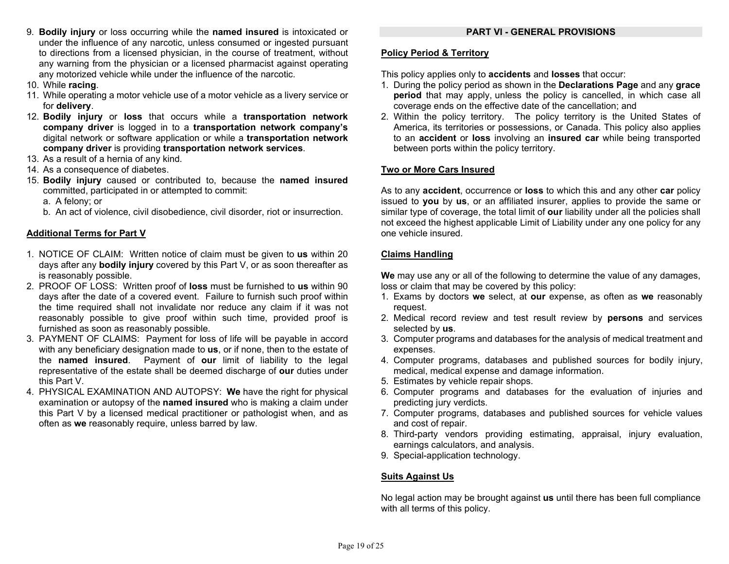- 9. Bodily injury or loss occurring while the named insured is intoxicated or under the influence of any narcotic, unless consumed or ingested pursuant to directions from a licensed physician, in the course of treatment, without any warning from the physician or a licensed pharmacist against operating any motorized vehicle while under the influence of the narcotic.
- 10. While racing.
- 11. While operating a motor vehicle use of a motor vehicle as a livery service or for delivery.
- 12. Bodily injury or loss that occurs while a transportation network company driver is logged in to a transportation network company's digital network or software application or while a transportation network company driver is providing transportation network services.
- 13. As a result of a hernia of any kind.
- 14. As a consequence of diabetes.
- 15. Bodily injury caused or contributed to, because the named insured committed, participated in or attempted to commit:
	- a. A felony; or
	- b. An act of violence, civil disobedience, civil disorder, riot or insurrection.

# Additional Terms for Part V

- 1. NOTICE OF CLAIM: Written notice of claim must be given to us within 20 days after any **bodily injury** covered by this Part V, or as soon thereafter as is reasonably possible.
- 2. PROOF OF LOSS: Written proof of loss must be furnished to us within 90 days after the date of a covered event. Failure to furnish such proof within the time required shall not invalidate nor reduce any claim if it was not reasonably possible to give proof within such time, provided proof is furnished as soon as reasonably possible.
- 3. PAYMENT OF CLAIMS: Payment for loss of life will be payable in accord with any beneficiary designation made to us, or if none, then to the estate of the named insured. Payment of our limit of liability to the legal representative of the estate shall be deemed discharge of our duties under this Part V.
- 4. PHYSICAL EXAMINATION AND AUTOPSY: We have the right for physical examination or autopsy of the **named insured** who is making a claim under this Part V by a licensed medical practitioner or pathologist when, and as often as we reasonably require, unless barred by law.

# Policy Period & Territory

This policy applies only to **accidents** and **losses** that occur:

- 1. During the policy period as shown in the Declarations Page and any grace period that may apply, unless the policy is cancelled, in which case all coverage ends on the effective date of the cancellation; and
- 2. Within the policy territory. The policy territory is the United States of America, its territories or possessions, or Canada. This policy also applies to an **accident** or loss involving an insured car while being transported between ports within the policy territory.

# Two or More Cars Insured

As to any **accident**, occurrence or **loss** to which this and any other **car** policy issued to you by us, or an affiliated insurer, applies to provide the same or similar type of coverage, the total limit of our liability under all the policies shall not exceed the highest applicable Limit of Liability under any one policy for any one vehicle insured.

# Claims Handling

We may use any or all of the following to determine the value of any damages, loss or claim that may be covered by this policy:

- 1. Exams by doctors we select, at our expense, as often as we reasonably request.
- 2. Medical record review and test result review by persons and services selected by us.
- 3. Computer programs and databases for the analysis of medical treatment and expenses.
- 4. Computer programs, databases and published sources for bodily injury, medical, medical expense and damage information.
- 5. Estimates by vehicle repair shops.
- 6. Computer programs and databases for the evaluation of injuries and predicting jury verdicts.
- 7. Computer programs, databases and published sources for vehicle values and cost of repair.
- 8. Third-party vendors providing estimating, appraisal, injury evaluation, earnings calculators, and analysis.
- 9. Special-application technology.

# Suits Against Us

No legal action may be brought against us until there has been full compliance with all terms of this policy.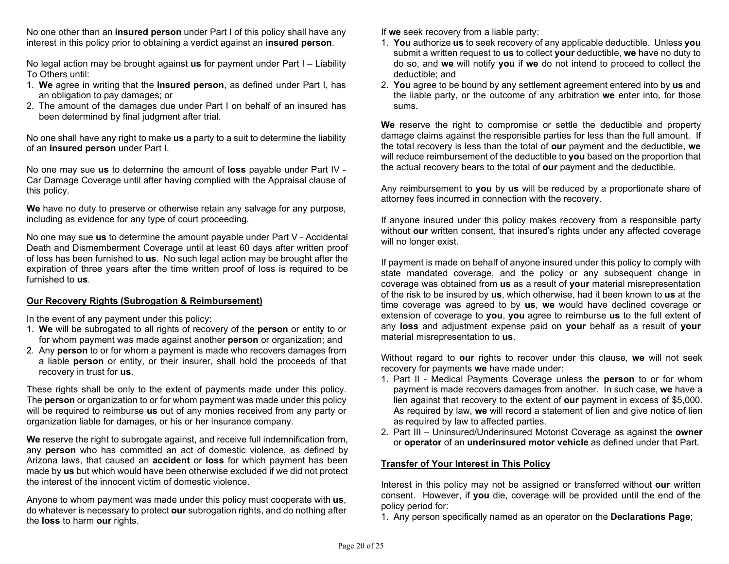No one other than an insured person under Part I of this policy shall have any interest in this policy prior to obtaining a verdict against an insured person.

No legal action may be brought against **us** for payment under Part  $I -$  Liability To Others until:

- 1. We agree in writing that the insured person, as defined under Part I, has an obligation to pay damages; or
- 2. The amount of the damages due under Part I on behalf of an insured has been determined by final judgment after trial.

No one shall have any right to make us a party to a suit to determine the liability of an insured person under Part I.

No one may sue us to determine the amount of loss payable under Part IV - Car Damage Coverage until after having complied with the Appraisal clause of this policy.

We have no duty to preserve or otherwise retain any salvage for any purpose, including as evidence for any type of court proceeding.

No one may sue us to determine the amount payable under Part V - Accidental Death and Dismemberment Coverage until at least 60 days after written proof of loss has been furnished to us. No such legal action may be brought after the expiration of three years after the time written proof of loss is required to be furnished to us.

### Our Recovery Rights (Subrogation & Reimbursement)

In the event of any payment under this policy:

- 1. We will be subrogated to all rights of recovery of the person or entity to or for whom payment was made against another **person** or organization; and
- 2. Any person to or for whom a payment is made who recovers damages from a liable person or entity, or their insurer, shall hold the proceeds of that recovery in trust for us.

These rights shall be only to the extent of payments made under this policy. The **person** or organization to or for whom payment was made under this policy will be required to reimburse us out of any monies received from any party or organization liable for damages, or his or her insurance company.

We reserve the right to subrogate against, and receive full indemnification from, any **person** who has committed an act of domestic violence, as defined by Arizona laws, that caused an **accident** or **loss** for which payment has been made by us but which would have been otherwise excluded if we did not protect the interest of the innocent victim of domestic violence.

Anyone to whom payment was made under this policy must cooperate with us, do whatever is necessary to protect our subrogation rights, and do nothing after the loss to harm our rights.

If we seek recovery from a liable party:

- 1. You authorize us to seek recovery of any applicable deductible. Unless you submit a written request to us to collect your deductible, we have no duty to do so, and we will notify you if we do not intend to proceed to collect the deductible; and
- 2. You agree to be bound by any settlement agreement entered into by us and the liable party, or the outcome of any arbitration we enter into, for those sums.

We reserve the right to compromise or settle the deductible and property damage claims against the responsible parties for less than the full amount. If the total recovery is less than the total of our payment and the deductible, we will reduce reimbursement of the deductible to you based on the proportion that the actual recovery bears to the total of our payment and the deductible.

Any reimbursement to you by us will be reduced by a proportionate share of attorney fees incurred in connection with the recovery.

If anyone insured under this policy makes recovery from a responsible party without our written consent, that insured's rights under any affected coverage will no longer exist.

If payment is made on behalf of anyone insured under this policy to comply with state mandated coverage, and the policy or any subsequent change in coverage was obtained from us as a result of your material misrepresentation of the risk to be insured by us, which otherwise, had it been known to us at the time coverage was agreed to by us, we would have declined coverage or extension of coverage to you, you agree to reimburse us to the full extent of any loss and adjustment expense paid on your behalf as a result of your material misrepresentation to us.

Without regard to our rights to recover under this clause, we will not seek recovery for payments we have made under:

- 1. Part II Medical Payments Coverage unless the person to or for whom payment is made recovers damages from another. In such case, we have a lien against that recovery to the extent of our payment in excess of \$5,000. As required by law, we will record a statement of lien and give notice of lien as required by law to affected parties.
- 2. Part III Uninsured/Underinsured Motorist Coverage as against the owner or operator of an underinsured motor vehicle as defined under that Part.

### Transfer of Your Interest in This Policy

Interest in this policy may not be assigned or transferred without our written consent. However, if you die, coverage will be provided until the end of the policy period for:

1. Any person specifically named as an operator on the Declarations Page;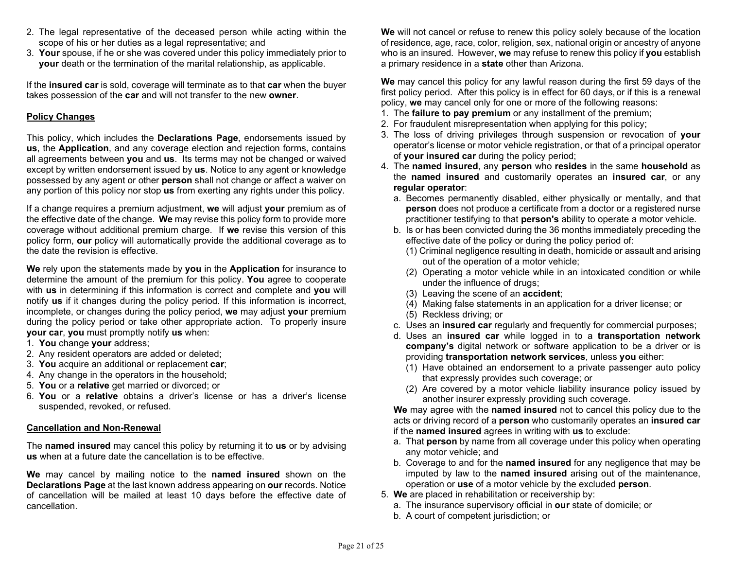- 2. The legal representative of the deceased person while acting within the scope of his or her duties as a legal representative; and
- 3. Your spouse, if he or she was covered under this policy immediately prior to your death or the termination of the marital relationship, as applicable.

If the insured car is sold, coverage will terminate as to that car when the buyer takes possession of the car and will not transfer to the new owner.

### Policy Changes

This policy, which includes the **Declarations Page**, endorsements issued by us, the Application, and any coverage election and rejection forms, contains all agreements between you and us. Its terms may not be changed or waived except by written endorsement issued by **us**. Notice to any agent or knowledge possessed by any agent or other person shall not change or affect a waiver on any portion of this policy nor stop us from exerting any rights under this policy.

If a change requires a premium adjustment, we will adjust your premium as of the effective date of the change. We may revise this policy form to provide more coverage without additional premium charge. If we revise this version of this policy form, our policy will automatically provide the additional coverage as to the date the revision is effective.

We rely upon the statements made by you in the Application for insurance to determine the amount of the premium for this policy. You agree to cooperate with us in determining if this information is correct and complete and you will notify us if it changes during the policy period. If this information is incorrect, incomplete, or changes during the policy period, we may adjust your premium during the policy period or take other appropriate action. To properly insure your car, you must promptly notify us when:

- 1. You change your address;
- 2. Any resident operators are added or deleted;
- 3. You acquire an additional or replacement car;
- 4. Any change in the operators in the household;
- 5. You or a relative get married or divorced; or
- 6. You or a relative obtains a driver's license or has a driver's license suspended, revoked, or refused.

### Cancellation and Non-Renewal

The **named insured** may cancel this policy by returning it to us or by advising us when at a future date the cancellation is to be effective.

We may cancel by mailing notice to the **named insured** shown on the Declarations Page at the last known address appearing on our records. Notice of cancellation will be mailed at least 10 days before the effective date of cancellation.

We will not cancel or refuse to renew this policy solely because of the location of residence, age, race, color, religion, sex, national origin or ancestry of anyone who is an insured. However, we may refuse to renew this policy if you establish a primary residence in a state other than Arizona.

We may cancel this policy for any lawful reason during the first 59 days of the first policy period. After this policy is in effect for 60 days, or if this is a renewal policy, we may cancel only for one or more of the following reasons:

- 1. The failure to pay premium or any installment of the premium;
- 2. For fraudulent misrepresentation when applying for this policy;
- 3. The loss of driving privileges through suspension or revocation of your operator's license or motor vehicle registration, or that of a principal operator of your insured car during the policy period;
- 4. The named insured, any person who resides in the same household as the named insured and customarily operates an insured car, or any regular operator:
	- a. Becomes permanently disabled, either physically or mentally, and that person does not produce a certificate from a doctor or a registered nurse practitioner testifying to that **person's** ability to operate a motor vehicle.
	- b. Is or has been convicted during the 36 months immediately preceding the effective date of the policy or during the policy period of:
		- (1) Criminal negligence resulting in death, homicide or assault and arising out of the operation of a motor vehicle;
		- (2) Operating a motor vehicle while in an intoxicated condition or while under the influence of drugs;
		- (3) Leaving the scene of an accident;
		- (4) Making false statements in an application for a driver license; or
		- (5) Reckless driving; or
	- c. Uses an insured car regularly and frequently for commercial purposes;
	- d. Uses an insured car while logged in to a transportation network company's digital network or software application to be a driver or is providing transportation network services, unless you either:
		- (1) Have obtained an endorsement to a private passenger auto policy that expressly provides such coverage; or
		- (2) Are covered by a motor vehicle liability insurance policy issued by another insurer expressly providing such coverage.

We may agree with the named insured not to cancel this policy due to the acts or driving record of a person who customarily operates an insured car if the named insured agrees in writing with us to exclude:

- a. That person by name from all coverage under this policy when operating any motor vehicle; and
- b. Coverage to and for the named insured for any negligence that may be imputed by law to the named insured arising out of the maintenance, operation or use of a motor vehicle by the excluded person.
- 5. We are placed in rehabilitation or receivership by:
	- a. The insurance supervisory official in our state of domicile; or
	- b. A court of competent jurisdiction; or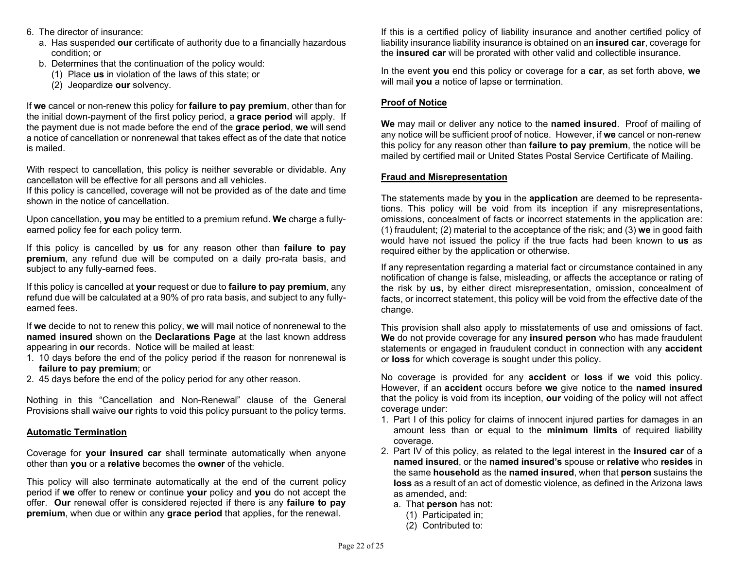- 6. The director of insurance:
	- a. Has suspended our certificate of authority due to a financially hazardous condition; or
	- b. Determines that the continuation of the policy would:
		- (1) Place us in violation of the laws of this state; or
		- (2) Jeopardize our solvency.

If we cancel or non-renew this policy for failure to pay premium, other than for the initial down-payment of the first policy period, a grace period will apply. If the payment due is not made before the end of the grace period, we will send a notice of cancellation or nonrenewal that takes effect as of the date that notice is mailed.

With respect to cancellation, this policy is neither severable or dividable. Any cancellaton will be effective for all persons and all vehicles.

If this policy is cancelled, coverage will not be provided as of the date and time shown in the notice of cancellation.

Upon cancellation, you may be entitled to a premium refund. We charge a fullyearned policy fee for each policy term.

If this policy is cancelled by us for any reason other than failure to pay premium, any refund due will be computed on a daily pro-rata basis, and subject to any fully-earned fees.

If this policy is cancelled at your request or due to **failure to pay premium**, any refund due will be calculated at a 90% of pro rata basis, and subject to any fullyearned fees.

If we decide to not to renew this policy, we will mail notice of nonrenewal to the named insured shown on the Declarations Page at the last known address appearing in our records. Notice will be mailed at least:

- 1. 10 days before the end of the policy period if the reason for nonrenewal is failure to pay premium; or
- 2. 45 days before the end of the policy period for any other reason.

Nothing in this "Cancellation and Non-Renewal" clause of the General Provisions shall waive our rights to void this policy pursuant to the policy terms.

# Automatic Termination

Coverage for your insured car shall terminate automatically when anyone other than you or a relative becomes the owner of the vehicle.

This policy will also terminate automatically at the end of the current policy period if we offer to renew or continue your policy and you do not accept the offer. Our renewal offer is considered rejected if there is any failure to pay premium, when due or within any grace period that applies, for the renewal.

If this is a certified policy of liability insurance and another certified policy of liability insurance liability insurance is obtained on an insured car, coverage for the insured car will be prorated with other valid and collectible insurance.

In the event you end this policy or coverage for a car, as set forth above, we will mail you a notice of lapse or termination.

### Proof of Notice

We may mail or deliver any notice to the named insured. Proof of mailing of any notice will be sufficient proof of notice. However, if we cancel or non-renew this policy for any reason other than **failure to pay premium**, the notice will be mailed by certified mail or United States Postal Service Certificate of Mailing.

### Fraud and Misrepresentation

The statements made by you in the application are deemed to be representations. This policy will be void from its inception if any misrepresentations, omissions, concealment of facts or incorrect statements in the application are: (1) fraudulent; (2) material to the acceptance of the risk; and (3) we in good faith would have not issued the policy if the true facts had been known to us as required either by the application or otherwise.

If any representation regarding a material fact or circumstance contained in any notification of change is false, misleading, or affects the acceptance or rating of the risk by us, by either direct misrepresentation, omission, concealment of facts, or incorrect statement, this policy will be void from the effective date of the change.

This provision shall also apply to misstatements of use and omissions of fact. We do not provide coverage for any insured person who has made fraudulent statements or engaged in fraudulent conduct in connection with any **accident** or loss for which coverage is sought under this policy.

No coverage is provided for any **accident** or **loss** if we void this policy. However, if an accident occurs before we give notice to the named insured that the policy is void from its inception, our voiding of the policy will not affect coverage under:

- 1. Part I of this policy for claims of innocent injured parties for damages in an amount less than or equal to the **minimum limits** of required liability coverage.
- 2. Part IV of this policy, as related to the legal interest in the **insured car** of a named insured, or the named insured's spouse or relative who resides in the same household as the named insured, when that person sustains the loss as a result of an act of domestic violence, as defined in the Arizona laws as amended, and:
	- a. That **person** has not:
		- (1) Participated in;
		- (2) Contributed to: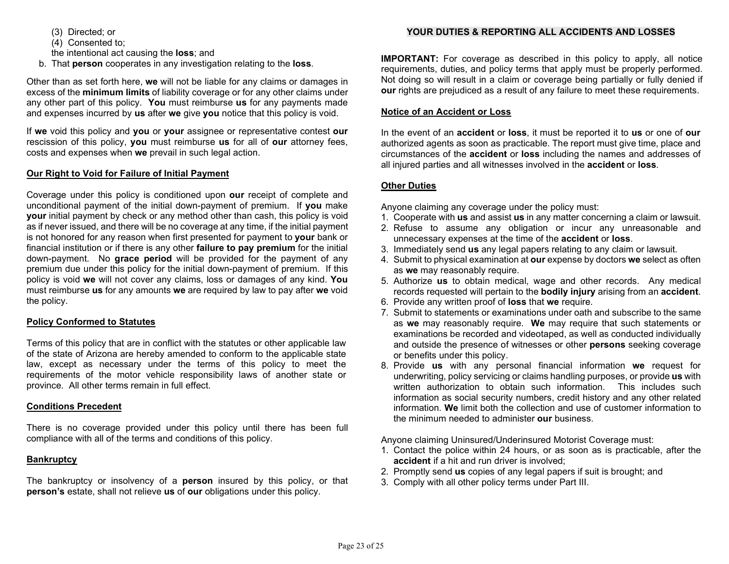(3) Directed; or

(4) Consented to;

the intentional act causing the loss; and

b. That person cooperates in any investigation relating to the loss.

Other than as set forth here, we will not be liable for any claims or damages in excess of the minimum limits of liability coverage or for any other claims under any other part of this policy. You must reimburse us for any payments made and expenses incurred by us after we give you notice that this policy is void.

If we void this policy and you or your assignee or representative contest our rescission of this policy, you must reimburse us for all of our attorney fees, costs and expenses when we prevail in such legal action.

# Our Right to Void for Failure of Initial Payment

Coverage under this policy is conditioned upon our receipt of complete and unconditional payment of the initial down-payment of premium. If you make your initial payment by check or any method other than cash, this policy is void as if never issued, and there will be no coverage at any time, if the initial payment is not honored for any reason when first presented for payment to your bank or financial institution or if there is any other failure to pay premium for the initial down-payment. No grace period will be provided for the payment of any premium due under this policy for the initial down-payment of premium. If this policy is void we will not cover any claims, loss or damages of any kind. You must reimburse us for any amounts we are required by law to pay after we void the policy.

### Policy Conformed to Statutes

Terms of this policy that are in conflict with the statutes or other applicable law of the state of Arizona are hereby amended to conform to the applicable state law, except as necessary under the terms of this policy to meet the requirements of the motor vehicle responsibility laws of another state or province. All other terms remain in full effect.

# Conditions Precedent

There is no coverage provided under this policy until there has been full compliance with all of the terms and conditions of this policy.

# **Bankruptcy**

The bankruptcy or insolvency of a **person** insured by this policy, or that person's estate, shall not relieve us of our obligations under this policy.

# YOUR DUTIES & REPORTING ALL ACCIDENTS AND LOSSES

IMPORTANT: For coverage as described in this policy to apply, all notice requirements, duties, and policy terms that apply must be properly performed. Not doing so will result in a claim or coverage being partially or fully denied if our rights are prejudiced as a result of any failure to meet these requirements.

### Notice of an Accident or Loss

In the event of an **accident** or **loss**, it must be reported it to **us** or one of **our** authorized agents as soon as practicable. The report must give time, place and circumstances of the accident or loss including the names and addresses of all injured parties and all witnesses involved in the **accident** or loss.

# Other Duties

Anyone claiming any coverage under the policy must:

- 1. Cooperate with us and assist us in any matter concerning a claim or lawsuit.
- 2. Refuse to assume any obligation or incur any unreasonable and unnecessary expenses at the time of the **accident** or **loss**.
- 3. Immediately send us any legal papers relating to any claim or lawsuit.
- 4. Submit to physical examination at our expense by doctors we select as often as we may reasonably require.
- 5. Authorize us to obtain medical, wage and other records. Any medical records requested will pertain to the bodily injury arising from an accident.
- 6. Provide any written proof of loss that we require.
- 7. Submit to statements or examinations under oath and subscribe to the same as we may reasonably require. We may require that such statements or examinations be recorded and videotaped, as well as conducted individually and outside the presence of witnesses or other **persons** seeking coverage or benefits under this policy.
- 8. Provide us with any personal financial information we request for underwriting, policy servicing or claims handling purposes, or provide us with written authorization to obtain such information. This includes such information as social security numbers, credit history and any other related information. We limit both the collection and use of customer information to the minimum needed to administer our business.

Anyone claiming Uninsured/Underinsured Motorist Coverage must:

- 1. Contact the police within 24 hours, or as soon as is practicable, after the accident if a hit and run driver is involved;
- 2. Promptly send us copies of any legal papers if suit is brought; and
- 3. Comply with all other policy terms under Part III.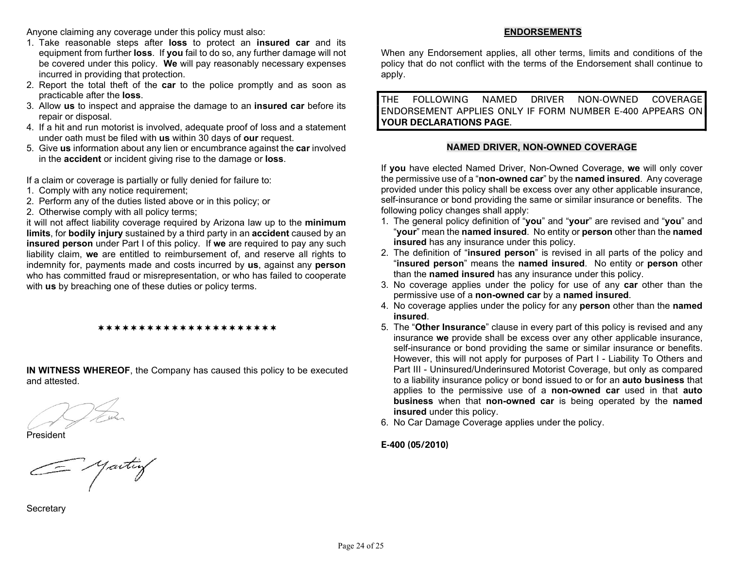Anyone claiming any coverage under this policy must also:

- 1. Take reasonable steps after loss to protect an insured car and its equipment from further loss. If you fail to do so, any further damage will not be covered under this policy. We will pay reasonably necessary expenses incurred in providing that protection.
- 2. Report the total theft of the car to the police promptly and as soon as practicable after the loss.
- 3. Allow us to inspect and appraise the damage to an insured car before its repair or disposal.
- 4. If a hit and run motorist is involved, adequate proof of loss and a statement under oath must be filed with us within 30 days of our request.
- 5. Give us information about any lien or encumbrance against the car involved in the accident or incident giving rise to the damage or loss.

If a claim or coverage is partially or fully denied for failure to:

- 1. Comply with any notice requirement;
- 2. Perform any of the duties listed above or in this policy; or
- 2. Otherwise comply with all policy terms;

it will not affect liability coverage required by Arizona law up to the minimum limits, for bodily injury sustained by a third party in an accident caused by an insured person under Part I of this policy. If we are required to pay any such liability claim, we are entitled to reimbursement of, and reserve all rights to indemnity for, payments made and costs incurred by us, against any person who has committed fraud or misrepresentation, or who has failed to cooperate with us by breaching one of these duties or policy terms.

IN WITNESS WHEREOF, the Company has caused this policy to be executed and attested.

\*\*\*\*\*\*\*\*\*\*\*\*\*\*\*\*\*\*\*\*\*\*

President

G yartiy

**Secretary** 

# ENDORSEMENTS

When any Endorsement applies, all other terms, limits and conditions of the policy that do not conflict with the terms of the Endorsement shall continue to apply.

THE FOLLOWING NAMED DRIVER NON-OWNED COVERAGE ENDORSEMENT APPLIES ONLY IF FORM NUMBER E-400 APPEARS ON YOUR DECLARATIONS PAGE.

# NAMED DRIVER, NON-OWNED COVERAGE

If you have elected Named Driver, Non-Owned Coverage, we will only cover the permissive use of a "non-owned car" by the named insured. Any coverage provided under this policy shall be excess over any other applicable insurance, self-insurance or bond providing the same or similar insurance or benefits. The following policy changes shall apply:

- 1. The general policy definition of "you" and "your" are revised and "you" and "your" mean the named insured. No entity or person other than the named **insured** has any insurance under this policy.
- 2. The definition of "insured person" is revised in all parts of the policy and "insured person" means the named insured. No entity or person other than the named insured has any insurance under this policy.
- 3. No coverage applies under the policy for use of any car other than the permissive use of a non-owned car by a named insured.
- 4. No coverage applies under the policy for any person other than the named insured.
- 5. The "Other Insurance" clause in every part of this policy is revised and any insurance we provide shall be excess over any other applicable insurance, self-insurance or bond providing the same or similar insurance or benefits. However, this will not apply for purposes of Part I - Liability To Others and Part III - Uninsured/Underinsured Motorist Coverage, but only as compared to a liability insurance policy or bond issued to or for an auto business that applies to the permissive use of a non-owned car used in that auto business when that non-owned car is being operated by the named insured under this policy.
- 6. No Car Damage Coverage applies under the policy.

# E-400 (05/2010)